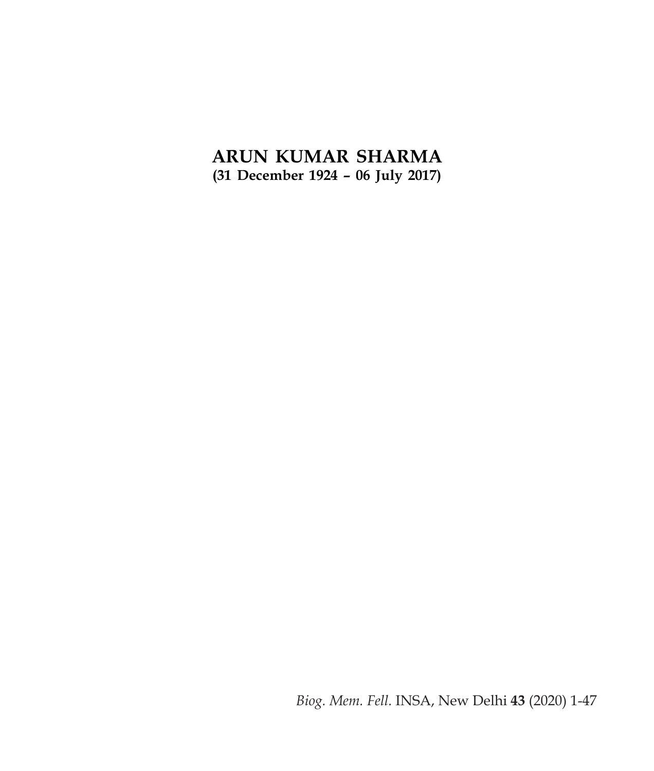# **ARUN KUMAR SHARMA (31 December 1924 – 06 July 2017)**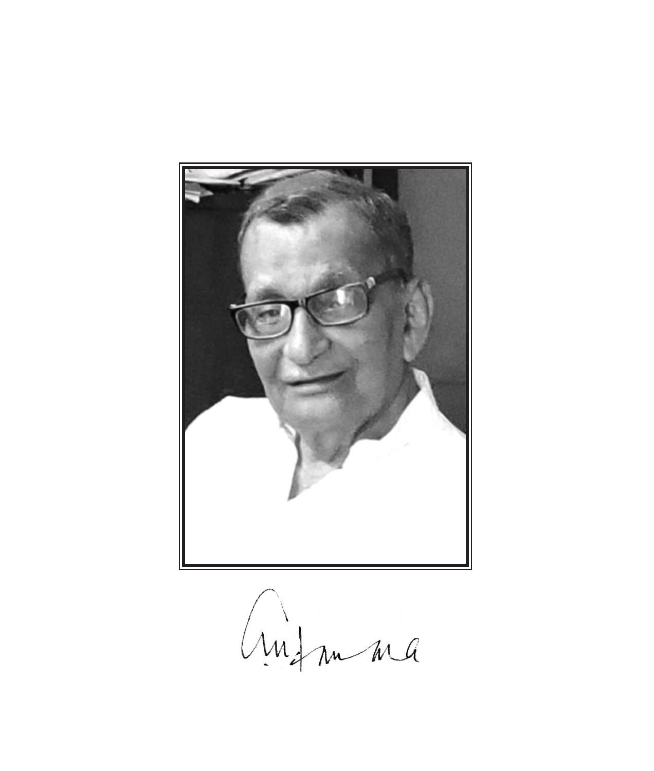

Angrona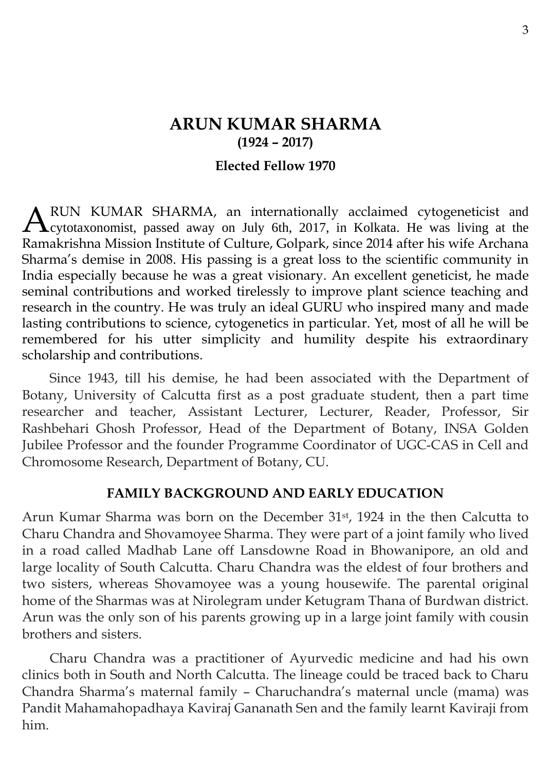# **ARUN KUMAR SHARMA (1924 – 2017)**

### **Elected Fellow 1970**

RUN KUMAR SHARMA, an internationally acclaimed cytogeneticist and ARUN KUMAR SHARMA, an internationally acclaimed cytogeneticist and Cytotaxonomist, passed away on July 6th, 2017, in Kolkata. He was living at the Ramakrishna Mission Institute of Culture, Golpark, since 2014 after his wife Archana Sharma's demise in 2008. His passing is a great loss to the scientific community in India especially because he was a great visionary. An excellent geneticist, he made seminal contributions and worked tirelessly to improve plant science teaching and research in the country. He was truly an ideal GURU who inspired many and made lasting contributions to science, cytogenetics in particular. Yet, most of all he will be remembered for his utter simplicity and humility despite his extraordinary scholarship and contributions.

 Since 1943, till his demise, he had been associated with the Department of Botany, University of Calcutta first as a post graduate student, then a part time researcher and teacher, Assistant Lecturer, Lecturer, Reader, Professor, Sir Rashbehari Ghosh Professor, Head of the Department of Botany, INSA Golden Jubilee Professor and the founder Programme Coordinator of UGC-CAS in Cell and Chromosome Research, Department of Botany, CU.

### **FAMILY BACKGROUND AND EARLY EDUCATION**

Arun Kumar Sharma was born on the December 31<sup>st</sup>, 1924 in the then Calcutta to Charu Chandra and Shovamoyee Sharma. They were part of a joint family who lived in a road called Madhab Lane off Lansdowne Road in Bhowanipore, an old and large locality of South Calcutta. Charu Chandra was the eldest of four brothers and two sisters, whereas Shovamoyee was a young housewife. The parental original home of the Sharmas was at Nirolegram under Ketugram Thana of Burdwan district. Arun was the only son of his parents growing up in a large joint family with cousin brothers and sisters.

 Charu Chandra was a practitioner of Ayurvedic medicine and had his own clinics both in South and North Calcutta. The lineage could be traced back to Charu Chandra Sharma's maternal family – Charuchandra's maternal uncle (mama) was Pandit Mahamahopadhaya Kaviraj Gananath Sen and the family learnt Kaviraji from him.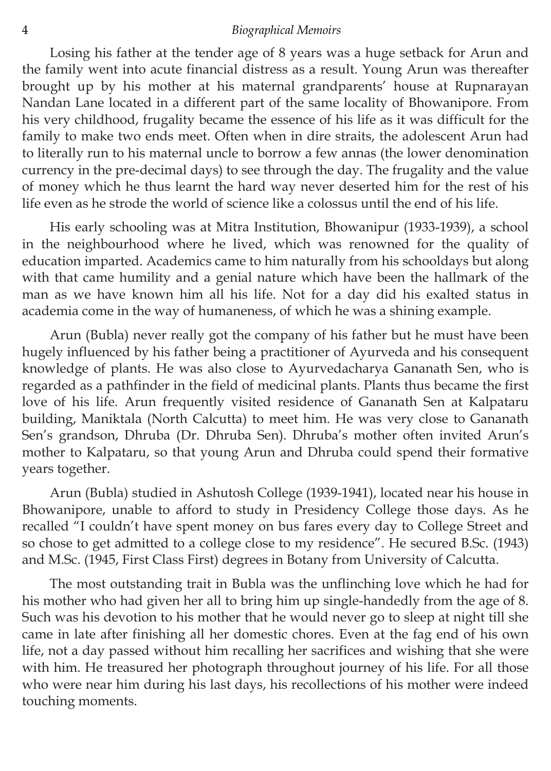Losing his father at the tender age of 8 years was a huge setback for Arun and the family went into acute financial distress as a result. Young Arun was thereafter brought up by his mother at his maternal grandparents' house at Rupnarayan Nandan Lane located in a different part of the same locality of Bhowanipore. From his very childhood, frugality became the essence of his life as it was difficult for the family to make two ends meet. Often when in dire straits, the adolescent Arun had to literally run to his maternal uncle to borrow a few annas (the lower denomination currency in the pre-decimal days) to see through the day. The frugality and the value of money which he thus learnt the hard way never deserted him for the rest of his life even as he strode the world of science like a colossus until the end of his life.

 His early schooling was at Mitra Institution, Bhowanipur (1933-1939), a school in the neighbourhood where he lived, which was renowned for the quality of education imparted. Academics came to him naturally from his schooldays but along with that came humility and a genial nature which have been the hallmark of the man as we have known him all his life. Not for a day did his exalted status in academia come in the way of humaneness, of which he was a shining example.

 Arun (Bubla) never really got the company of his father but he must have been hugely influenced by his father being a practitioner of Ayurveda and his consequent knowledge of plants. He was also close to Ayurvedacharya Gananath Sen, who is regarded as a pathfinder in the field of medicinal plants. Plants thus became the first love of his life. Arun frequently visited residence of Gananath Sen at Kalpataru building, Maniktala (North Calcutta) to meet him. He was very close to Gananath Sen's grandson, Dhruba (Dr. Dhruba Sen). Dhruba's mother often invited Arun's mother to Kalpataru, so that young Arun and Dhruba could spend their formative years together.

 Arun (Bubla) studied in Ashutosh College (1939-1941), located near his house in Bhowanipore, unable to afford to study in Presidency College those days. As he recalled "I couldn't have spent money on bus fares every day to College Street and so chose to get admitted to a college close to my residence". He secured B.Sc. (1943) and M.Sc. (1945, First Class First) degrees in Botany from University of Calcutta.

 The most outstanding trait in Bubla was the unflinching love which he had for his mother who had given her all to bring him up single-handedly from the age of 8. Such was his devotion to his mother that he would never go to sleep at night till she came in late after finishing all her domestic chores. Even at the fag end of his own life, not a day passed without him recalling her sacrifices and wishing that she were with him. He treasured her photograph throughout journey of his life. For all those who were near him during his last days, his recollections of his mother were indeed touching moments.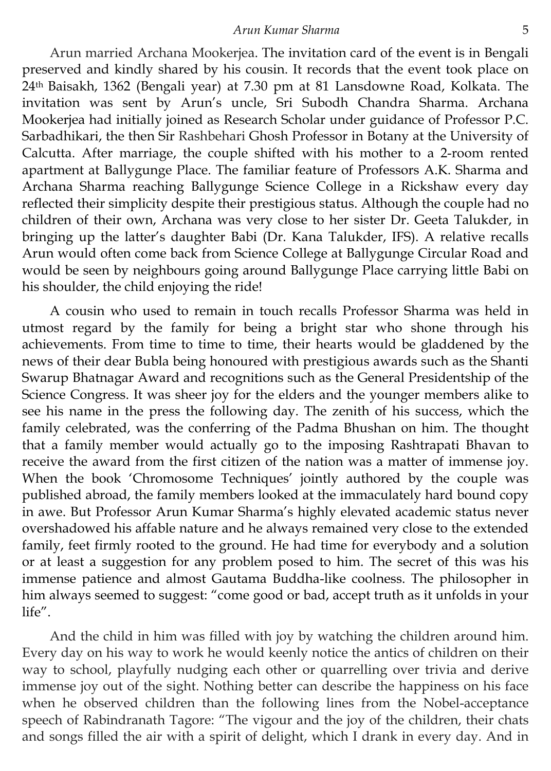Arun married Archana Mookerjea. The invitation card of the event is in Bengali preserved and kindly shared by his cousin. It records that the event took place on 24th Baisakh, 1362 (Bengali year) at 7.30 pm at 81 Lansdowne Road, Kolkata. The invitation was sent by Arun's uncle, Sri Subodh Chandra Sharma. Archana Mookerjea had initially joined as Research Scholar under guidance of Professor P.C. Sarbadhikari, the then Sir Rashbehari Ghosh Professor in Botany at the University of Calcutta. After marriage, the couple shifted with his mother to a 2-room rented apartment at Ballygunge Place. The familiar feature of Professors A.K. Sharma and Archana Sharma reaching Ballygunge Science College in a Rickshaw every day reflected their simplicity despite their prestigious status. Although the couple had no children of their own, Archana was very close to her sister Dr. Geeta Talukder, in bringing up the latter's daughter Babi (Dr. Kana Talukder, IFS). A relative recalls Arun would often come back from Science College at Ballygunge Circular Road and would be seen by neighbours going around Ballygunge Place carrying little Babi on his shoulder, the child enjoying the ride!

 A cousin who used to remain in touch recalls Professor Sharma was held in utmost regard by the family for being a bright star who shone through his achievements. From time to time to time, their hearts would be gladdened by the news of their dear Bubla being honoured with prestigious awards such as the Shanti Swarup Bhatnagar Award and recognitions such as the General Presidentship of the Science Congress. It was sheer joy for the elders and the younger members alike to see his name in the press the following day. The zenith of his success, which the family celebrated, was the conferring of the Padma Bhushan on him. The thought that a family member would actually go to the imposing Rashtrapati Bhavan to receive the award from the first citizen of the nation was a matter of immense joy. When the book 'Chromosome Techniques' jointly authored by the couple was published abroad, the family members looked at the immaculately hard bound copy in awe. But Professor Arun Kumar Sharma's highly elevated academic status never overshadowed his affable nature and he always remained very close to the extended family, feet firmly rooted to the ground. He had time for everybody and a solution or at least a suggestion for any problem posed to him. The secret of this was his immense patience and almost Gautama Buddha-like coolness. The philosopher in him always seemed to suggest: "come good or bad, accept truth as it unfolds in your life".

 And the child in him was filled with joy by watching the children around him. Every day on his way to work he would keenly notice the antics of children on their way to school, playfully nudging each other or quarrelling over trivia and derive immense joy out of the sight. Nothing better can describe the happiness on his face when he observed children than the following lines from the Nobel-acceptance speech of Rabindranath Tagore: "The vigour and the joy of the children, their chats and songs filled the air with a spirit of delight, which I drank in every day. And in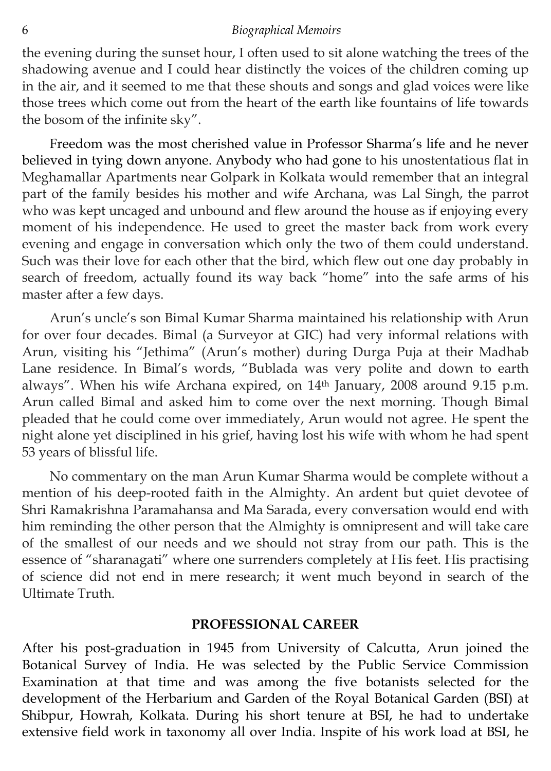the evening during the sunset hour, I often used to sit alone watching the trees of the shadowing avenue and I could hear distinctly the voices of the children coming up in the air, and it seemed to me that these shouts and songs and glad voices were like those trees which come out from the heart of the earth like fountains of life towards the bosom of the infinite sky".

 Freedom was the most cherished value in Professor Sharma's life and he never believed in tying down anyone. Anybody who had gone to his unostentatious flat in Meghamallar Apartments near Golpark in Kolkata would remember that an integral part of the family besides his mother and wife Archana, was Lal Singh, the parrot who was kept uncaged and unbound and flew around the house as if enjoying every moment of his independence. He used to greet the master back from work every evening and engage in conversation which only the two of them could understand. Such was their love for each other that the bird, which flew out one day probably in search of freedom, actually found its way back "home" into the safe arms of his master after a few days.

 Arun's uncle's son Bimal Kumar Sharma maintained his relationship with Arun for over four decades. Bimal (a Surveyor at GIC) had very informal relations with Arun, visiting his "Jethima" (Arun's mother) during Durga Puja at their Madhab Lane residence. In Bimal's words, "Bublada was very polite and down to earth always". When his wife Archana expired, on 14th January, 2008 around 9.15 p.m. Arun called Bimal and asked him to come over the next morning. Though Bimal pleaded that he could come over immediately, Arun would not agree. He spent the night alone yet disciplined in his grief, having lost his wife with whom he had spent 53 years of blissful life.

 No commentary on the man Arun Kumar Sharma would be complete without a mention of his deep-rooted faith in the Almighty. An ardent but quiet devotee of Shri Ramakrishna Paramahansa and Ma Sarada, every conversation would end with him reminding the other person that the Almighty is omnipresent and will take care of the smallest of our needs and we should not stray from our path. This is the essence of "sharanagati" where one surrenders completely at His feet. His practising of science did not end in mere research; it went much beyond in search of the Ultimate Truth.

### **PROFESSIONAL CAREER**

After his post-graduation in 1945 from University of Calcutta, Arun joined the Botanical Survey of India. He was selected by the Public Service Commission Examination at that time and was among the five botanists selected for the development of the Herbarium and Garden of the Royal Botanical Garden (BSI) at Shibpur, Howrah, Kolkata. During his short tenure at BSI, he had to undertake extensive field work in taxonomy all over India. Inspite of his work load at BSI, he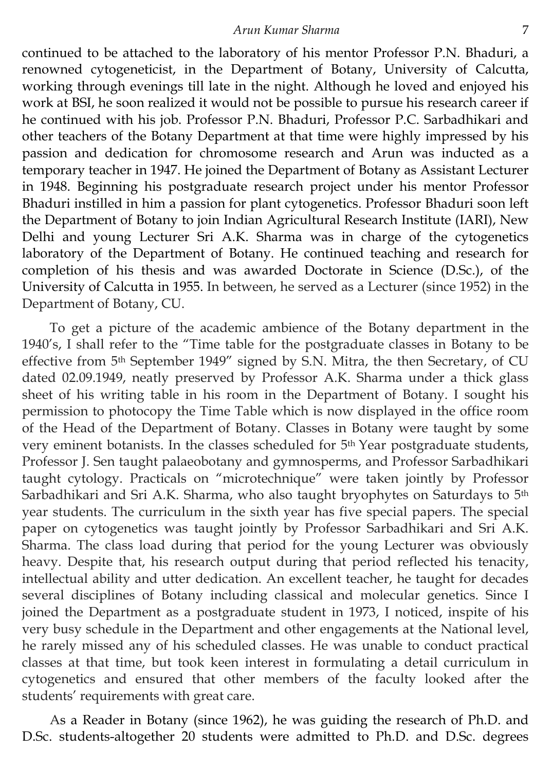continued to be attached to the laboratory of his mentor Professor P.N. Bhaduri, a renowned cytogeneticist, in the Department of Botany, University of Calcutta, working through evenings till late in the night. Although he loved and enjoyed his work at BSI, he soon realized it would not be possible to pursue his research career if he continued with his job. Professor P.N. Bhaduri, Professor P.C. Sarbadhikari and other teachers of the Botany Department at that time were highly impressed by his passion and dedication for chromosome research and Arun was inducted as a temporary teacher in 1947. He joined the Department of Botany as Assistant Lecturer in 1948. Beginning his postgraduate research project under his mentor Professor Bhaduri instilled in him a passion for plant cytogenetics. Professor Bhaduri soon left the Department of Botany to join Indian Agricultural Research Institute (IARI), New Delhi and young Lecturer Sri A.K. Sharma was in charge of the cytogenetics laboratory of the Department of Botany. He continued teaching and research for completion of his thesis and was awarded Doctorate in Science (D.Sc.), of the University of Calcutta in 1955. In between, he served as a Lecturer (since 1952) in the Department of Botany, CU.

 To get a picture of the academic ambience of the Botany department in the 1940's, I shall refer to the "Time table for the postgraduate classes in Botany to be effective from 5th September 1949" signed by S.N. Mitra, the then Secretary, of CU dated 02.09.1949, neatly preserved by Professor A.K. Sharma under a thick glass sheet of his writing table in his room in the Department of Botany. I sought his permission to photocopy the Time Table which is now displayed in the office room of the Head of the Department of Botany. Classes in Botany were taught by some very eminent botanists. In the classes scheduled for 5th Year postgraduate students, Professor J. Sen taught palaeobotany and gymnosperms, and Professor Sarbadhikari taught cytology. Practicals on "microtechnique" were taken jointly by Professor Sarbadhikari and Sri A.K. Sharma, who also taught bryophytes on Saturdays to 5<sup>th</sup> year students. The curriculum in the sixth year has five special papers. The special paper on cytogenetics was taught jointly by Professor Sarbadhikari and Sri A.K. Sharma. The class load during that period for the young Lecturer was obviously heavy. Despite that, his research output during that period reflected his tenacity, intellectual ability and utter dedication. An excellent teacher, he taught for decades several disciplines of Botany including classical and molecular genetics. Since I joined the Department as a postgraduate student in 1973, I noticed, inspite of his very busy schedule in the Department and other engagements at the National level, he rarely missed any of his scheduled classes. He was unable to conduct practical classes at that time, but took keen interest in formulating a detail curriculum in cytogenetics and ensured that other members of the faculty looked after the students' requirements with great care.

 As a Reader in Botany (since 1962), he was guiding the research of Ph.D. and D.Sc. students-altogether 20 students were admitted to Ph.D. and D.Sc. degrees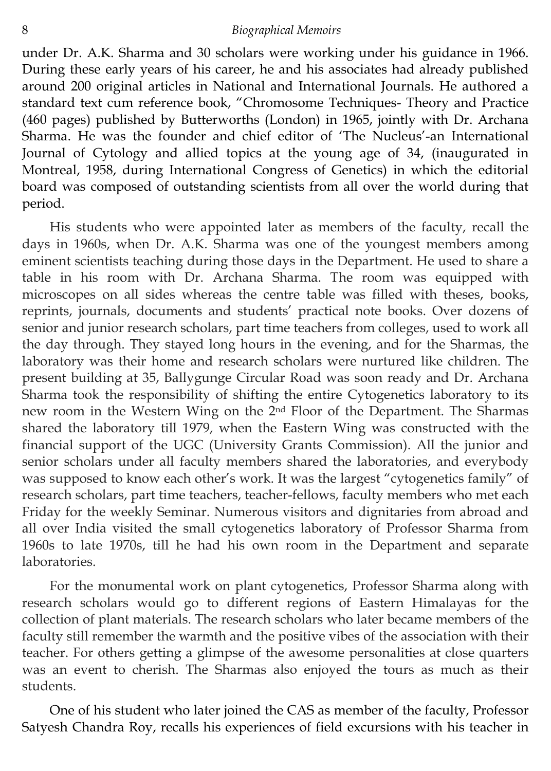under Dr. A.K. Sharma and 30 scholars were working under his guidance in 1966. During these early years of his career, he and his associates had already published around 200 original articles in National and International Journals. He authored a standard text cum reference book, "Chromosome Techniques- Theory and Practice (460 pages) published by Butterworths (London) in 1965, jointly with Dr. Archana Sharma. He was the founder and chief editor of 'The Nucleus'-an International Journal of Cytology and allied topics at the young age of 34, (inaugurated in Montreal, 1958, during International Congress of Genetics) in which the editorial board was composed of outstanding scientists from all over the world during that period.

 His students who were appointed later as members of the faculty, recall the days in 1960s, when Dr. A.K. Sharma was one of the youngest members among eminent scientists teaching during those days in the Department. He used to share a table in his room with Dr. Archana Sharma. The room was equipped with microscopes on all sides whereas the centre table was filled with theses, books, reprints, journals, documents and students' practical note books. Over dozens of senior and junior research scholars, part time teachers from colleges, used to work all the day through. They stayed long hours in the evening, and for the Sharmas, the laboratory was their home and research scholars were nurtured like children. The present building at 35, Ballygunge Circular Road was soon ready and Dr. Archana Sharma took the responsibility of shifting the entire Cytogenetics laboratory to its new room in the Western Wing on the 2nd Floor of the Department. The Sharmas shared the laboratory till 1979, when the Eastern Wing was constructed with the financial support of the UGC (University Grants Commission). All the junior and senior scholars under all faculty members shared the laboratories, and everybody was supposed to know each other's work. It was the largest "cytogenetics family" of research scholars, part time teachers, teacher-fellows, faculty members who met each Friday for the weekly Seminar. Numerous visitors and dignitaries from abroad and all over India visited the small cytogenetics laboratory of Professor Sharma from 1960s to late 1970s, till he had his own room in the Department and separate laboratories.

 For the monumental work on plant cytogenetics, Professor Sharma along with research scholars would go to different regions of Eastern Himalayas for the collection of plant materials. The research scholars who later became members of the faculty still remember the warmth and the positive vibes of the association with their teacher. For others getting a glimpse of the awesome personalities at close quarters was an event to cherish. The Sharmas also enjoyed the tours as much as their students.

 One of his student who later joined the CAS as member of the faculty, Professor Satyesh Chandra Roy, recalls his experiences of field excursions with his teacher in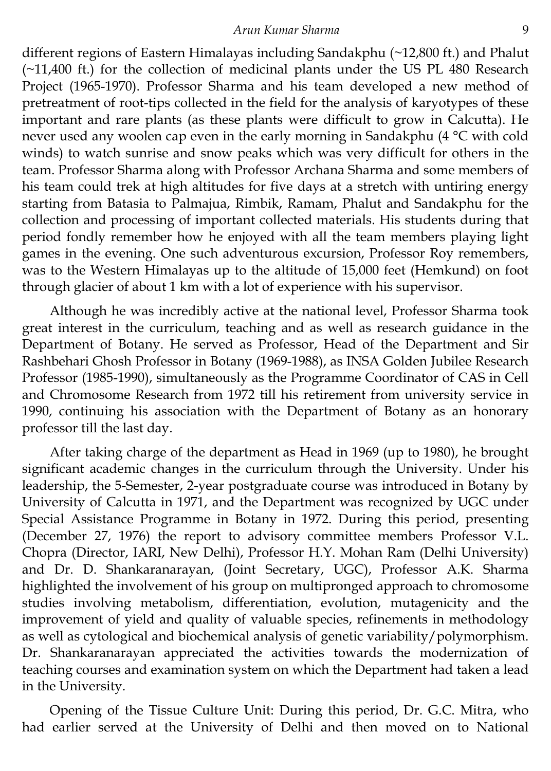different regions of Eastern Himalayas including Sandakphu (~12,800 ft.) and Phalut (~11,400 ft.) for the collection of medicinal plants under the US PL 480 Research Project (1965-1970). Professor Sharma and his team developed a new method of pretreatment of root-tips collected in the field for the analysis of karyotypes of these important and rare plants (as these plants were difficult to grow in Calcutta). He never used any woolen cap even in the early morning in Sandakphu (4 °C with cold winds) to watch sunrise and snow peaks which was very difficult for others in the team. Professor Sharma along with Professor Archana Sharma and some members of his team could trek at high altitudes for five days at a stretch with untiring energy starting from Batasia to Palmajua, Rimbik, Ramam, Phalut and Sandakphu for the collection and processing of important collected materials. His students during that period fondly remember how he enjoyed with all the team members playing light games in the evening. One such adventurous excursion, Professor Roy remembers, was to the Western Himalayas up to the altitude of 15,000 feet (Hemkund) on foot through glacier of about 1 km with a lot of experience with his supervisor.

 Although he was incredibly active at the national level, Professor Sharma took great interest in the curriculum, teaching and as well as research guidance in the Department of Botany. He served as Professor, Head of the Department and Sir Rashbehari Ghosh Professor in Botany (1969-1988), as INSA Golden Jubilee Research Professor (1985-1990), simultaneously as the Programme Coordinator of CAS in Cell and Chromosome Research from 1972 till his retirement from university service in 1990, continuing his association with the Department of Botany as an honorary professor till the last day.

 After taking charge of the department as Head in 1969 (up to 1980), he brought significant academic changes in the curriculum through the University. Under his leadership, the 5-Semester, 2-year postgraduate course was introduced in Botany by University of Calcutta in 1971, and the Department was recognized by UGC under Special Assistance Programme in Botany in 1972. During this period, presenting (December 27, 1976) the report to advisory committee members Professor V.L. Chopra (Director, IARI, New Delhi), Professor H.Y. Mohan Ram (Delhi University) and Dr. D. Shankaranarayan, (Joint Secretary, UGC), Professor A.K. Sharma highlighted the involvement of his group on multipronged approach to chromosome studies involving metabolism, differentiation, evolution, mutagenicity and the improvement of yield and quality of valuable species, refinements in methodology as well as cytological and biochemical analysis of genetic variability/polymorphism. Dr. Shankaranarayan appreciated the activities towards the modernization of teaching courses and examination system on which the Department had taken a lead in the University.

 Opening of the Tissue Culture Unit: During this period, Dr. G.C. Mitra, who had earlier served at the University of Delhi and then moved on to National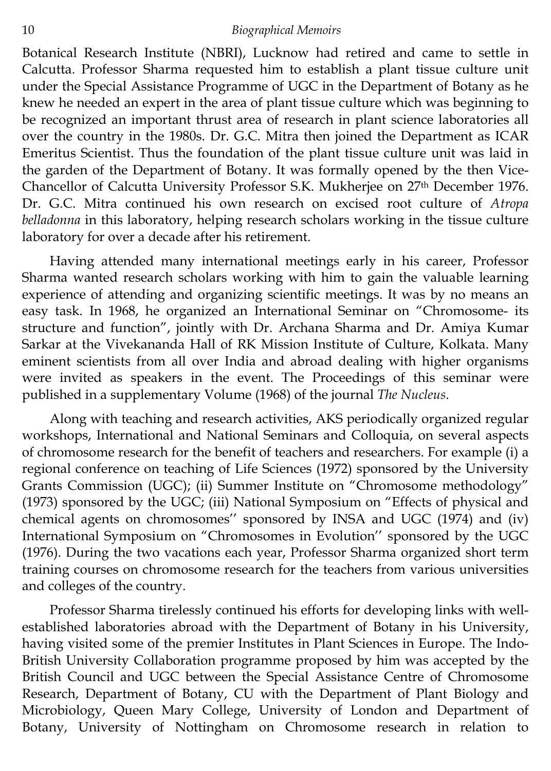Botanical Research Institute (NBRI), Lucknow had retired and came to settle in Calcutta. Professor Sharma requested him to establish a plant tissue culture unit under the Special Assistance Programme of UGC in the Department of Botany as he knew he needed an expert in the area of plant tissue culture which was beginning to be recognized an important thrust area of research in plant science laboratories all over the country in the 1980s. Dr. G.C. Mitra then joined the Department as ICAR Emeritus Scientist. Thus the foundation of the plant tissue culture unit was laid in the garden of the Department of Botany. It was formally opened by the then Vice-Chancellor of Calcutta University Professor S.K. Mukherjee on 27th December 1976. Dr. G.C. Mitra continued his own research on excised root culture of *Atropa belladonna* in this laboratory, helping research scholars working in the tissue culture laboratory for over a decade after his retirement.

 Having attended many international meetings early in his career, Professor Sharma wanted research scholars working with him to gain the valuable learning experience of attending and organizing scientific meetings. It was by no means an easy task. In 1968, he organized an International Seminar on "Chromosome- its structure and function", jointly with Dr. Archana Sharma and Dr. Amiya Kumar Sarkar at the Vivekananda Hall of RK Mission Institute of Culture, Kolkata. Many eminent scientists from all over India and abroad dealing with higher organisms were invited as speakers in the event. The Proceedings of this seminar were published in a supplementary Volume (1968) of the journal *The Nucleus*.

 Along with teaching and research activities, AKS periodically organized regular workshops, International and National Seminars and Colloquia, on several aspects of chromosome research for the benefit of teachers and researchers. For example (i) a regional conference on teaching of Life Sciences (1972) sponsored by the University Grants Commission (UGC); (ii) Summer Institute on "Chromosome methodology" (1973) sponsored by the UGC; (iii) National Symposium on "Effects of physical and chemical agents on chromosomes'' sponsored by INSA and UGC (1974) and (iv) International Symposium on "Chromosomes in Evolution'' sponsored by the UGC (1976). During the two vacations each year, Professor Sharma organized short term training courses on chromosome research for the teachers from various universities and colleges of the country.

 Professor Sharma tirelessly continued his efforts for developing links with wellestablished laboratories abroad with the Department of Botany in his University, having visited some of the premier Institutes in Plant Sciences in Europe. The Indo-British University Collaboration programme proposed by him was accepted by the British Council and UGC between the Special Assistance Centre of Chromosome Research, Department of Botany, CU with the Department of Plant Biology and Microbiology, Queen Mary College, University of London and Department of Botany, University of Nottingham on Chromosome research in relation to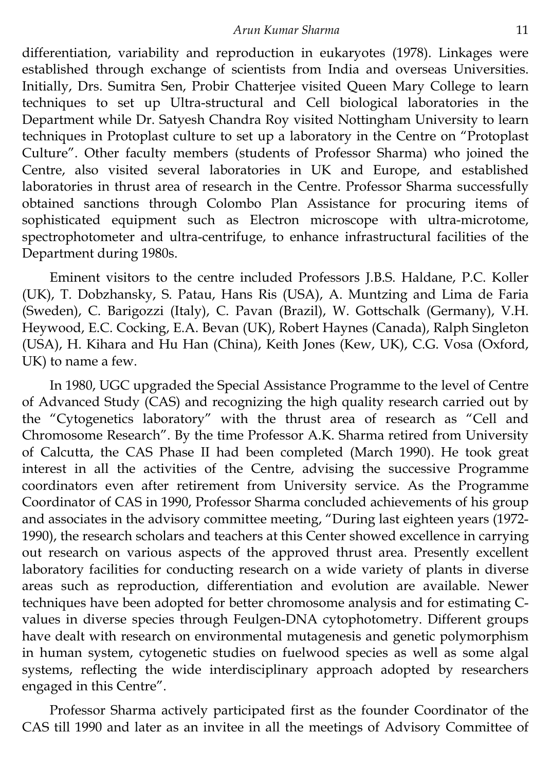differentiation, variability and reproduction in eukaryotes (1978). Linkages were established through exchange of scientists from India and overseas Universities. Initially, Drs. Sumitra Sen, Probir Chatterjee visited Queen Mary College to learn techniques to set up Ultra-structural and Cell biological laboratories in the Department while Dr. Satyesh Chandra Roy visited Nottingham University to learn techniques in Protoplast culture to set up a laboratory in the Centre on "Protoplast Culture". Other faculty members (students of Professor Sharma) who joined the Centre, also visited several laboratories in UK and Europe, and established laboratories in thrust area of research in the Centre. Professor Sharma successfully obtained sanctions through Colombo Plan Assistance for procuring items of sophisticated equipment such as Electron microscope with ultra-microtome, spectrophotometer and ultra-centrifuge, to enhance infrastructural facilities of the Department during 1980s.

 Eminent visitors to the centre included Professors J.B.S. Haldane, P.C. Koller (UK), T. Dobzhansky, S. Patau, Hans Ris (USA), A. Muntzing and Lima de Faria (Sweden), C. Barigozzi (Italy), C. Pavan (Brazil), W. Gottschalk (Germany), V.H. Heywood, E.C. Cocking, E.A. Bevan (UK), Robert Haynes (Canada), Ralph Singleton (USA), H. Kihara and Hu Han (China), Keith Jones (Kew, UK), C.G. Vosa (Oxford, UK) to name a few.

 In 1980, UGC upgraded the Special Assistance Programme to the level of Centre of Advanced Study (CAS) and recognizing the high quality research carried out by the "Cytogenetics laboratory" with the thrust area of research as "Cell and Chromosome Research". By the time Professor A.K. Sharma retired from University of Calcutta, the CAS Phase II had been completed (March 1990). He took great interest in all the activities of the Centre, advising the successive Programme coordinators even after retirement from University service. As the Programme Coordinator of CAS in 1990, Professor Sharma concluded achievements of his group and associates in the advisory committee meeting, "During last eighteen years (1972- 1990), the research scholars and teachers at this Center showed excellence in carrying out research on various aspects of the approved thrust area. Presently excellent laboratory facilities for conducting research on a wide variety of plants in diverse areas such as reproduction, differentiation and evolution are available. Newer techniques have been adopted for better chromosome analysis and for estimating Cvalues in diverse species through Feulgen-DNA cytophotometry. Different groups have dealt with research on environmental mutagenesis and genetic polymorphism in human system, cytogenetic studies on fuelwood species as well as some algal systems, reflecting the wide interdisciplinary approach adopted by researchers engaged in this Centre".

 Professor Sharma actively participated first as the founder Coordinator of the CAS till 1990 and later as an invitee in all the meetings of Advisory Committee of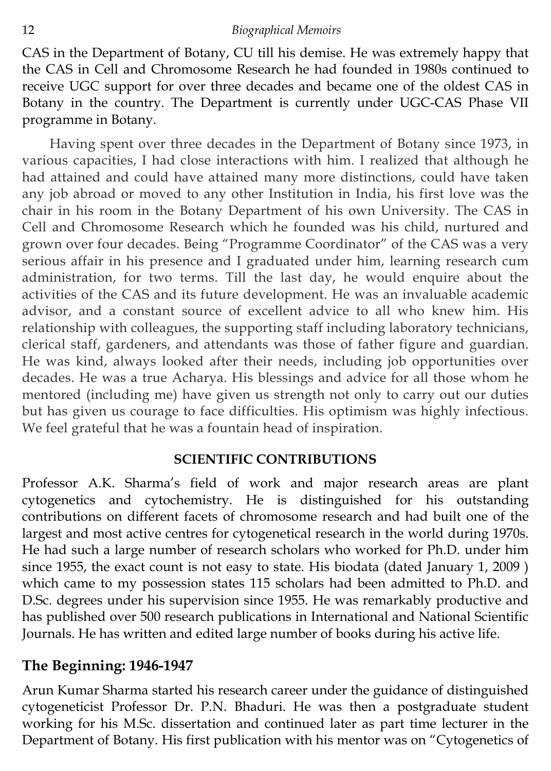CAS in the Department of Botany, CU till his demise. He was extremely happy that the CAS in Cell and Chromosome Research he had founded in 1980s continued to receive UGC support for over three decades and became one of the oldest CAS in Botany in the country. The Department is currently under UGC-CAS Phase VII programme in Botany.

 Having spent over three decades in the Department of Botany since 1973, in various capacities, I had close interactions with him. I realized that although he had attained and could have attained many more distinctions, could have taken any job abroad or moved to any other Institution in India, his first love was the chair in his room in the Botany Department of his own University. The CAS in Cell and Chromosome Research which he founded was his child, nurtured and grown over four decades. Being "Programme Coordinator" of the CAS was a very serious affair in his presence and I graduated under him, learning research cum administration, for two terms. Till the last day, he would enquire about the activities of the CAS and its future development. He was an invaluable academic advisor, and a constant source of excellent advice to all who knew him. His relationship with colleagues, the supporting staff including laboratory technicians, clerical staff, gardeners, and attendants was those of father figure and guardian. He was kind, always looked after their needs, including job opportunities over decades. He was a true Acharya. His blessings and advice for all those whom he mentored (including me) have given us strength not only to carry out our duties but has given us courage to face difficulties. His optimism was highly infectious. We feel grateful that he was a fountain head of inspiration.

# **SCIENTIFIC CONTRIBUTIONS**

Professor A.K. Sharma's field of work and major research areas are plant cytogenetics and cytochemistry. He is distinguished for his outstanding contributions on different facets of chromosome research and had built one of the largest and most active centres for cytogenetical research in the world during 1970s. He had such a large number of research scholars who worked for Ph.D. under him since 1955, the exact count is not easy to state. His biodata (dated January 1, 2009 ) which came to my possession states 115 scholars had been admitted to Ph.D. and D.Sc. degrees under his supervision since 1955. He was remarkably productive and has published over 500 research publications in International and National Scientific Journals. He has written and edited large number of books during his active life.

# **The Beginning: 1946-1947**

Arun Kumar Sharma started his research career under the guidance of distinguished cytogeneticist Professor Dr. P.N. Bhaduri. He was then a postgraduate student working for his M.Sc. dissertation and continued later as part time lecturer in the Department of Botany. His first publication with his mentor was on "Cytogenetics of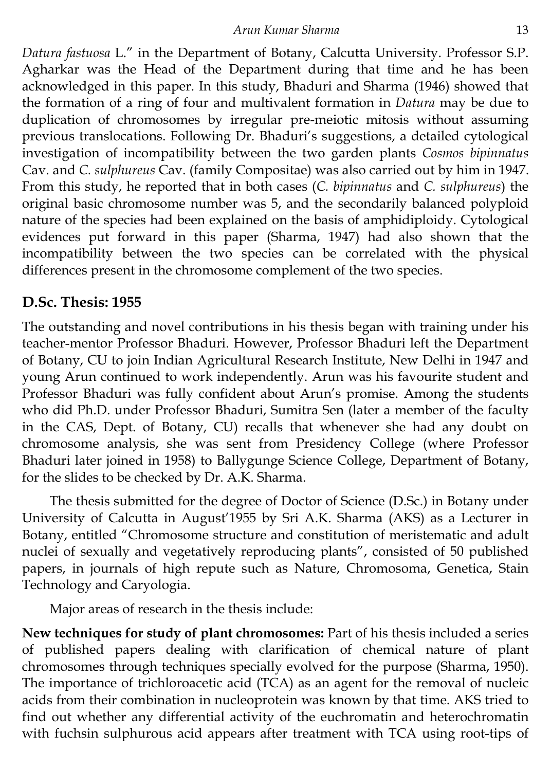*Datura fastuosa* L." in the Department of Botany, Calcutta University. Professor S.P. Agharkar was the Head of the Department during that time and he has been acknowledged in this paper. In this study, Bhaduri and Sharma (1946) showed that the formation of a ring of four and multivalent formation in *Datura* may be due to duplication of chromosomes by irregular pre-meiotic mitosis without assuming previous translocations. Following Dr. Bhaduri's suggestions, a detailed cytological investigation of incompatibility between the two garden plants *Cosmos bipinnatus*  Cav. and *C. sulphureus* Cav. (family Compositae) was also carried out by him in 1947. From this study, he reported that in both cases (*C. bipinnatus* and *C. sulphureus*) the original basic chromosome number was 5, and the secondarily balanced polyploid nature of the species had been explained on the basis of amphidiploidy. Cytological evidences put forward in this paper (Sharma, 1947) had also shown that the incompatibility between the two species can be correlated with the physical differences present in the chromosome complement of the two species.

# **D.Sc. Thesis: 1955**

The outstanding and novel contributions in his thesis began with training under his teacher-mentor Professor Bhaduri. However, Professor Bhaduri left the Department of Botany, CU to join Indian Agricultural Research Institute, New Delhi in 1947 and young Arun continued to work independently. Arun was his favourite student and Professor Bhaduri was fully confident about Arun's promise. Among the students who did Ph.D. under Professor Bhaduri, Sumitra Sen (later a member of the faculty in the CAS, Dept. of Botany, CU) recalls that whenever she had any doubt on chromosome analysis, she was sent from Presidency College (where Professor Bhaduri later joined in 1958) to Ballygunge Science College, Department of Botany, for the slides to be checked by Dr. A.K. Sharma.

 The thesis submitted for the degree of Doctor of Science (D.Sc.) in Botany under University of Calcutta in August'1955 by Sri A.K. Sharma (AKS) as a Lecturer in Botany, entitled "Chromosome structure and constitution of meristematic and adult nuclei of sexually and vegetatively reproducing plants", consisted of 50 published papers, in journals of high repute such as Nature, Chromosoma, Genetica, Stain Technology and Caryologia.

Major areas of research in the thesis include:

**New techniques for study of plant chromosomes:** Part of his thesis included a series of published papers dealing with clarification of chemical nature of plant chromosomes through techniques specially evolved for the purpose (Sharma, 1950). The importance of trichloroacetic acid (TCA) as an agent for the removal of nucleic acids from their combination in nucleoprotein was known by that time. AKS tried to find out whether any differential activity of the euchromatin and heterochromatin with fuchsin sulphurous acid appears after treatment with TCA using root-tips of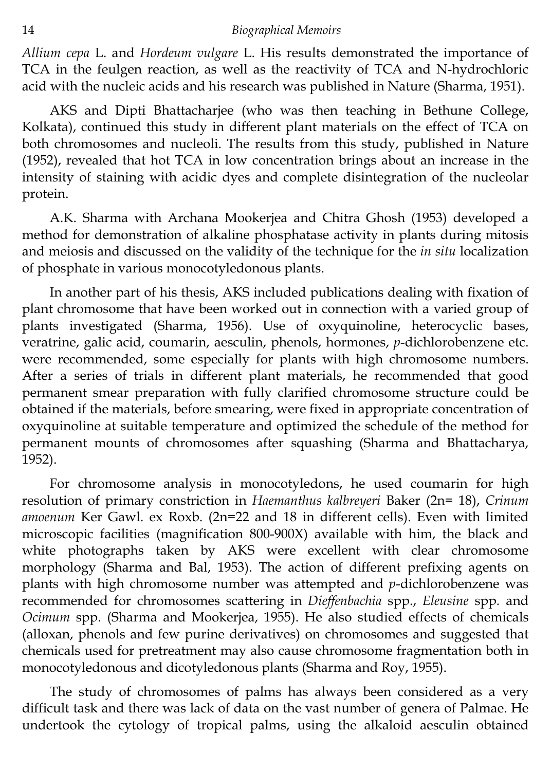*Allium cepa* L. and *Hordeum vulgare* L. His results demonstrated the importance of TCA in the feulgen reaction, as well as the reactivity of TCA and N-hydrochloric acid with the nucleic acids and his research was published in Nature (Sharma, 1951).

 AKS and Dipti Bhattacharjee (who was then teaching in Bethune College, Kolkata), continued this study in different plant materials on the effect of TCA on both chromosomes and nucleoli. The results from this study, published in Nature (1952), revealed that hot TCA in low concentration brings about an increase in the intensity of staining with acidic dyes and complete disintegration of the nucleolar protein.

 A.K. Sharma with Archana Mookerjea and Chitra Ghosh (1953) developed a method for demonstration of alkaline phosphatase activity in plants during mitosis and meiosis and discussed on the validity of the technique for the *in situ* localization of phosphate in various monocotyledonous plants.

 In another part of his thesis, AKS included publications dealing with fixation of plant chromosome that have been worked out in connection with a varied group of plants investigated (Sharma, 1956). Use of oxyquinoline, heterocyclic bases, veratrine, galic acid, coumarin, aesculin, phenols, hormones, *p*-dichlorobenzene etc. were recommended, some especially for plants with high chromosome numbers. After a series of trials in different plant materials, he recommended that good permanent smear preparation with fully clarified chromosome structure could be obtained if the materials, before smearing, were fixed in appropriate concentration of oxyquinoline at suitable temperature and optimized the schedule of the method for permanent mounts of chromosomes after squashing (Sharma and Bhattacharya, 1952).

 For chromosome analysis in monocotyledons, he used coumarin for high resolution of primary constriction in *Haemanthus kalbreyeri* Baker (2n= 18), *Crinum amoenum* Ker Gawl. ex Roxb. (2n=22 and 18 in different cells). Even with limited microscopic facilities (magnification 800-900X) available with him, the black and white photographs taken by AKS were excellent with clear chromosome morphology (Sharma and Bal, 1953). The action of different prefixing agents on plants with high chromosome number was attempted and *p*-dichlorobenzene was recommended for chromosomes scattering in *Dieffenbachia* spp., *Eleusine* spp*.* and *Ocimum* spp. (Sharma and Mookerjea, 1955). He also studied effects of chemicals (alloxan, phenols and few purine derivatives) on chromosomes and suggested that chemicals used for pretreatment may also cause chromosome fragmentation both in monocotyledonous and dicotyledonous plants (Sharma and Roy, 1955).

 The study of chromosomes of palms has always been considered as a very difficult task and there was lack of data on the vast number of genera of Palmae. He undertook the cytology of tropical palms, using the alkaloid aesculin obtained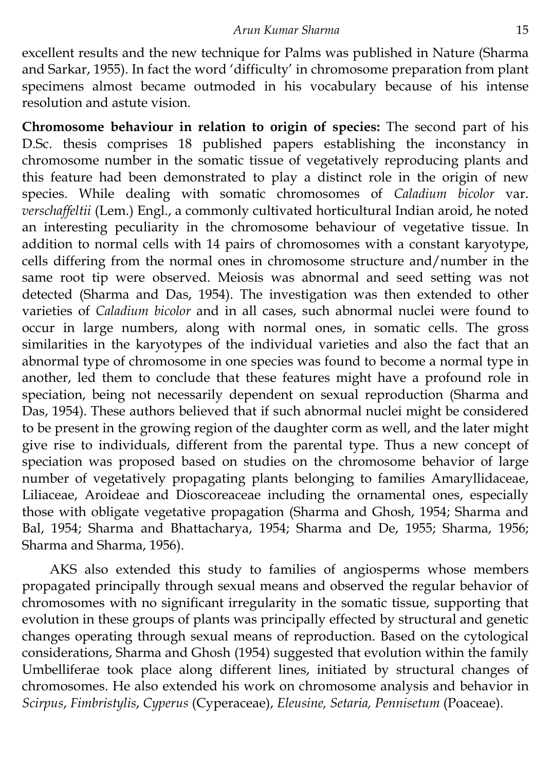excellent results and the new technique for Palms was published in Nature (Sharma and Sarkar, 1955). In fact the word 'difficulty' in chromosome preparation from plant specimens almost became outmoded in his vocabulary because of his intense resolution and astute vision.

**Chromosome behaviour in relation to origin of species:** The second part of his D.Sc. thesis comprises 18 published papers establishing the inconstancy in chromosome number in the somatic tissue of vegetatively reproducing plants and this feature had been demonstrated to play a distinct role in the origin of new species. While dealing with somatic chromosomes of *Caladium bicolor* var. *verschaffeltii* (Lem.) Engl., a commonly cultivated horticultural Indian aroid, he noted an interesting peculiarity in the chromosome behaviour of vegetative tissue. In addition to normal cells with 14 pairs of chromosomes with a constant karyotype, cells differing from the normal ones in chromosome structure and/number in the same root tip were observed. Meiosis was abnormal and seed setting was not detected (Sharma and Das, 1954). The investigation was then extended to other varieties of *Caladium bicolor* and in all cases, such abnormal nuclei were found to occur in large numbers, along with normal ones, in somatic cells. The gross similarities in the karyotypes of the individual varieties and also the fact that an abnormal type of chromosome in one species was found to become a normal type in another, led them to conclude that these features might have a profound role in speciation, being not necessarily dependent on sexual reproduction (Sharma and Das, 1954). These authors believed that if such abnormal nuclei might be considered to be present in the growing region of the daughter corm as well, and the later might give rise to individuals, different from the parental type. Thus a new concept of speciation was proposed based on studies on the chromosome behavior of large number of vegetatively propagating plants belonging to families Amaryllidaceae, Liliaceae, Aroideae and Dioscoreaceae including the ornamental ones, especially those with obligate vegetative propagation (Sharma and Ghosh, 1954; Sharma and Bal, 1954; Sharma and Bhattacharya, 1954; Sharma and De, 1955; Sharma, 1956; Sharma and Sharma, 1956).

 AKS also extended this study to families of angiosperms whose members propagated principally through sexual means and observed the regular behavior of chromosomes with no significant irregularity in the somatic tissue, supporting that evolution in these groups of plants was principally effected by structural and genetic changes operating through sexual means of reproduction. Based on the cytological considerations, Sharma and Ghosh (1954) suggested that evolution within the family Umbelliferae took place along different lines, initiated by structural changes of chromosomes. He also extended his work on chromosome analysis and behavior in *Scirpus*, *Fimbristylis*, *Cyperus* (Cyperaceae), *Eleusine, Setaria, Pennisetum* (Poaceae).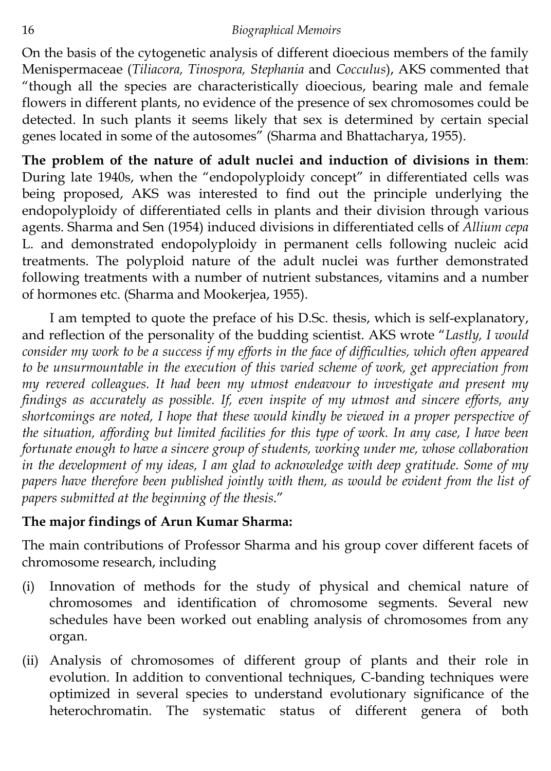On the basis of the cytogenetic analysis of different dioecious members of the family Menispermaceae (*Tiliacora, Tinospora, Stephania* and *Cocculus*), AKS commented that "though all the species are characteristically dioecious, bearing male and female flowers in different plants, no evidence of the presence of sex chromosomes could be detected. In such plants it seems likely that sex is determined by certain special genes located in some of the autosomes" (Sharma and Bhattacharya, 1955).

**The problem of the nature of adult nuclei and induction of divisions in them**: During late 1940s, when the "endopolyploidy concept" in differentiated cells was being proposed, AKS was interested to find out the principle underlying the endopolyploidy of differentiated cells in plants and their division through various agents. Sharma and Sen (1954) induced divisions in differentiated cells of *Allium cepa*  L. and demonstrated endopolyploidy in permanent cells following nucleic acid treatments. The polyploid nature of the adult nuclei was further demonstrated following treatments with a number of nutrient substances, vitamins and a number of hormones etc. (Sharma and Mookerjea, 1955).

 I am tempted to quote the preface of his D.Sc. thesis, which is self-explanatory, and reflection of the personality of the budding scientist. AKS wrote "*Lastly, I would consider my work to be a success if my efforts in the face of difficulties, which often appeared to be unsurmountable in the execution of this varied scheme of work, get appreciation from my revered colleagues. It had been my utmost endeavour to investigate and present my findings as accurately as possible. If, even inspite of my utmost and sincere efforts, any shortcomings are noted, I hope that these would kindly be viewed in a proper perspective of the situation, affording but limited facilities for this type of work. In any case, I have been fortunate enough to have a sincere group of students, working under me, whose collaboration in the development of my ideas, I am glad to acknowledge with deep gratitude. Some of my papers have therefore been published jointly with them, as would be evident from the list of papers submitted at the beginning of the thesis*."

# **The major findings of Arun Kumar Sharma:**

The main contributions of Professor Sharma and his group cover different facets of chromosome research, including

- (i) Innovation of methods for the study of physical and chemical nature of chromosomes and identification of chromosome segments. Several new schedules have been worked out enabling analysis of chromosomes from any organ.
- (ii)Analysis of chromosomes of different group of plants and their role in evolution. In addition to conventional techniques, C-banding techniques were optimized in several species to understand evolutionary significance of the heterochromatin. The systematic status of different genera of both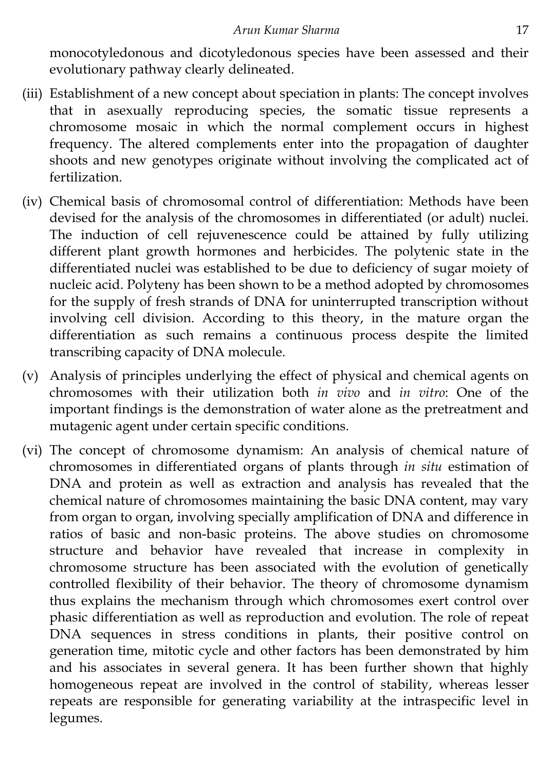monocotyledonous and dicotyledonous species have been assessed and their evolutionary pathway clearly delineated.

- (iii) Establishment of a new concept about speciation in plants: The concept involves that in asexually reproducing species, the somatic tissue represents a chromosome mosaic in which the normal complement occurs in highest frequency. The altered complements enter into the propagation of daughter shoots and new genotypes originate without involving the complicated act of fertilization.
- (iv) Chemical basis of chromosomal control of differentiation: Methods have been devised for the analysis of the chromosomes in differentiated (or adult) nuclei. The induction of cell rejuvenescence could be attained by fully utilizing different plant growth hormones and herbicides. The polytenic state in the differentiated nuclei was established to be due to deficiency of sugar moiety of nucleic acid. Polyteny has been shown to be a method adopted by chromosomes for the supply of fresh strands of DNA for uninterrupted transcription without involving cell division. According to this theory, in the mature organ the differentiation as such remains a continuous process despite the limited transcribing capacity of DNA molecule.
- (v) Analysis of principles underlying the effect of physical and chemical agents on chromosomes with their utilization both *in vivo* and *in vitro*: One of the important findings is the demonstration of water alone as the pretreatment and mutagenic agent under certain specific conditions.
- (vi) The concept of chromosome dynamism: An analysis of chemical nature of chromosomes in differentiated organs of plants through *in situ* estimation of DNA and protein as well as extraction and analysis has revealed that the chemical nature of chromosomes maintaining the basic DNA content, may vary from organ to organ, involving specially amplification of DNA and difference in ratios of basic and non-basic proteins. The above studies on chromosome structure and behavior have revealed that increase in complexity in chromosome structure has been associated with the evolution of genetically controlled flexibility of their behavior. The theory of chromosome dynamism thus explains the mechanism through which chromosomes exert control over phasic differentiation as well as reproduction and evolution. The role of repeat DNA sequences in stress conditions in plants, their positive control on generation time, mitotic cycle and other factors has been demonstrated by him and his associates in several genera. It has been further shown that highly homogeneous repeat are involved in the control of stability, whereas lesser repeats are responsible for generating variability at the intraspecific level in legumes.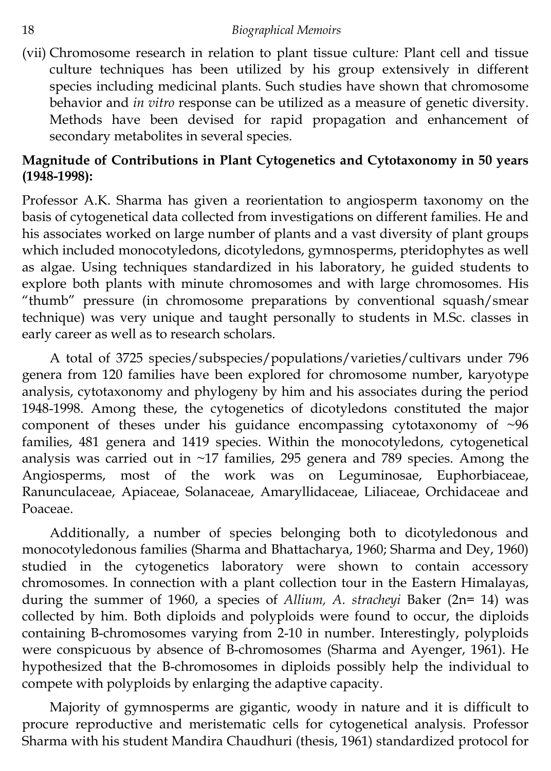(vii) Chromosome research in relation to plant tissue culture*:* Plant cell and tissue culture techniques has been utilized by his group extensively in different species including medicinal plants. Such studies have shown that chromosome behavior and *in vitro* response can be utilized as a measure of genetic diversity. Methods have been devised for rapid propagation and enhancement of secondary metabolites in several species.

# **Magnitude of Contributions in Plant Cytogenetics and Cytotaxonomy in 50 years (1948-1998):**

Professor A.K. Sharma has given a reorientation to angiosperm taxonomy on the basis of cytogenetical data collected from investigations on different families. He and his associates worked on large number of plants and a vast diversity of plant groups which included monocotyledons, dicotyledons, gymnosperms, pteridophytes as well as algae. Using techniques standardized in his laboratory, he guided students to explore both plants with minute chromosomes and with large chromosomes. His "thumb" pressure (in chromosome preparations by conventional squash/smear technique) was very unique and taught personally to students in M.Sc. classes in early career as well as to research scholars.

 A total of 3725 species/subspecies/populations/varieties/cultivars under 796 genera from 120 families have been explored for chromosome number, karyotype analysis, cytotaxonomy and phylogeny by him and his associates during the period 1948-1998. Among these, the cytogenetics of dicotyledons constituted the major component of theses under his guidance encompassing cytotaxonomy of ~96 families, 481 genera and 1419 species. Within the monocotyledons, cytogenetical analysis was carried out in  $\sim$ 17 families, 295 genera and 789 species. Among the Angiosperms, most of the work was on Leguminosae, Euphorbiaceae, Ranunculaceae, Apiaceae, Solanaceae, Amaryllidaceae, Liliaceae, Orchidaceae and Poaceae.

 Additionally, a number of species belonging both to dicotyledonous and monocotyledonous families (Sharma and Bhattacharya, 1960; Sharma and Dey, 1960) studied in the cytogenetics laboratory were shown to contain accessory chromosomes. In connection with a plant collection tour in the Eastern Himalayas, during the summer of 1960, a species of *Allium, A. stracheyi* Baker (2n= 14) was collected by him. Both diploids and polyploids were found to occur, the diploids containing B-chromosomes varying from 2-10 in number. Interestingly, polyploids were conspicuous by absence of B-chromosomes (Sharma and Ayenger, 1961). He hypothesized that the B-chromosomes in diploids possibly help the individual to compete with polyploids by enlarging the adaptive capacity.

 Majority of gymnosperms are gigantic, woody in nature and it is difficult to procure reproductive and meristematic cells for cytogenetical analysis. Professor Sharma with his student Mandira Chaudhuri (thesis, 1961) standardized protocol for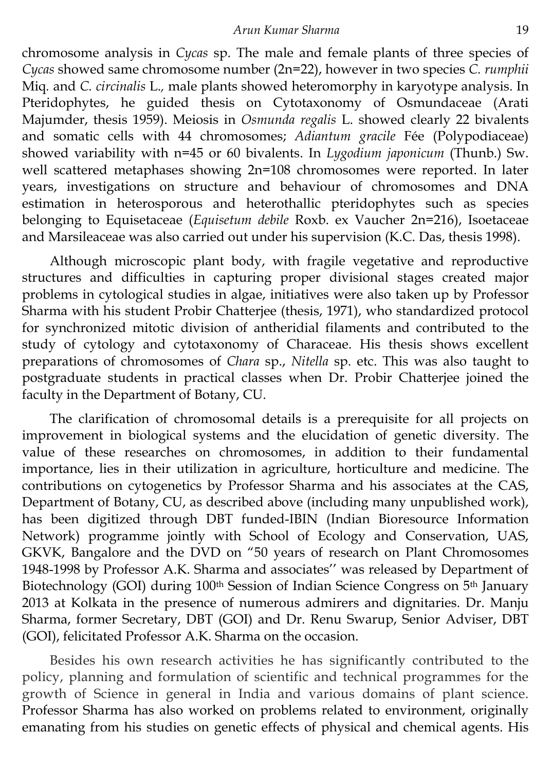chromosome analysis in *Cycas* sp. The male and female plants of three species of *Cycas* showed same chromosome number (2n=22), however in two species *C. rumphii*  Miq*.* and *C. circinalis* L.*,* male plants showed heteromorphy in karyotype analysis. In Pteridophytes, he guided thesis on Cytotaxonomy of Osmundaceae (Arati Majumder, thesis 1959). Meiosis in *Osmunda regalis* L. showed clearly 22 bivalents and somatic cells with 44 chromosomes; *Adiantum gracile* Fée (Polypodiaceae) showed variability with n=45 or 60 bivalents. In *Lygodium japonicum* (Thunb.) Sw. well scattered metaphases showing 2n=108 chromosomes were reported. In later years, investigations on structure and behaviour of chromosomes and DNA estimation in heterosporous and heterothallic pteridophytes such as species belonging to Equisetaceae (*Equisetum debile* Roxb. ex Vaucher 2n=216), Isoetaceae and Marsileaceae was also carried out under his supervision (K.C. Das, thesis 1998).

 Although microscopic plant body, with fragile vegetative and reproductive structures and difficulties in capturing proper divisional stages created major problems in cytological studies in algae, initiatives were also taken up by Professor Sharma with his student Probir Chatterjee (thesis, 1971), who standardized protocol for synchronized mitotic division of antheridial filaments and contributed to the study of cytology and cytotaxonomy of Characeae. His thesis shows excellent preparations of chromosomes of *Chara* sp., *Nitella* sp. etc. This was also taught to postgraduate students in practical classes when Dr. Probir Chatterjee joined the faculty in the Department of Botany, CU.

 The clarification of chromosomal details is a prerequisite for all projects on improvement in biological systems and the elucidation of genetic diversity. The value of these researches on chromosomes, in addition to their fundamental importance, lies in their utilization in agriculture, horticulture and medicine. The contributions on cytogenetics by Professor Sharma and his associates at the CAS, Department of Botany, CU, as described above (including many unpublished work), has been digitized through DBT funded-IBIN (Indian Bioresource Information Network) programme jointly with School of Ecology and Conservation, UAS, GKVK, Bangalore and the DVD on "50 years of research on Plant Chromosomes 1948-1998 by Professor A.K. Sharma and associates'' was released by Department of Biotechnology (GOI) during 100<sup>th</sup> Session of Indian Science Congress on 5<sup>th</sup> January 2013 at Kolkata in the presence of numerous admirers and dignitaries. Dr. Manju Sharma, former Secretary, DBT (GOI) and Dr. Renu Swarup, Senior Adviser, DBT (GOI), felicitated Professor A.K. Sharma on the occasion.

 Besides his own research activities he has significantly contributed to the policy, planning and formulation of scientific and technical programmes for the growth of Science in general in India and various domains of plant science. Professor Sharma has also worked on problems related to environment, originally emanating from his studies on genetic effects of physical and chemical agents. His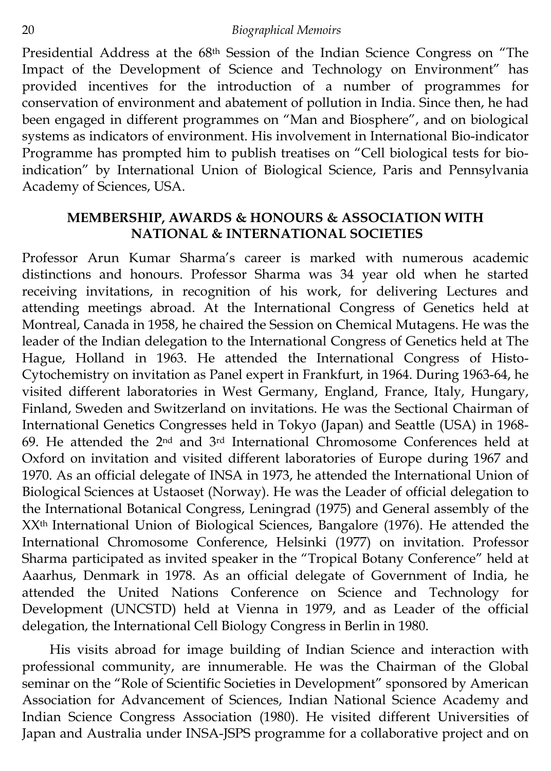Presidential Address at the 68th Session of the Indian Science Congress on "The Impact of the Development of Science and Technology on Environment" has provided incentives for the introduction of a number of programmes for conservation of environment and abatement of pollution in India. Since then, he had been engaged in different programmes on "Man and Biosphere", and on biological systems as indicators of environment. His involvement in International Bio-indicator Programme has prompted him to publish treatises on "Cell biological tests for bioindication" by International Union of Biological Science, Paris and Pennsylvania Academy of Sciences, USA.

# **MEMBERSHIP, AWARDS & HONOURS & ASSOCIATION WITH NATIONAL & INTERNATIONAL SOCIETIES**

Professor Arun Kumar Sharma's career is marked with numerous academic distinctions and honours. Professor Sharma was 34 year old when he started receiving invitations, in recognition of his work, for delivering Lectures and attending meetings abroad. At the International Congress of Genetics held at Montreal, Canada in 1958, he chaired the Session on Chemical Mutagens. He was the leader of the Indian delegation to the International Congress of Genetics held at The Hague, Holland in 1963. He attended the International Congress of Histo-Cytochemistry on invitation as Panel expert in Frankfurt, in 1964. During 1963-64, he visited different laboratories in West Germany, England, France, Italy, Hungary, Finland, Sweden and Switzerland on invitations. He was the Sectional Chairman of International Genetics Congresses held in Tokyo (Japan) and Seattle (USA) in 1968- 69. He attended the 2nd and 3rd International Chromosome Conferences held at Oxford on invitation and visited different laboratories of Europe during 1967 and 1970. As an official delegate of INSA in 1973, he attended the International Union of Biological Sciences at Ustaoset (Norway). He was the Leader of official delegation to the International Botanical Congress, Leningrad (1975) and General assembly of the XXth International Union of Biological Sciences, Bangalore (1976). He attended the International Chromosome Conference, Helsinki (1977) on invitation. Professor Sharma participated as invited speaker in the "Tropical Botany Conference" held at Aaarhus, Denmark in 1978. As an official delegate of Government of India, he attended the United Nations Conference on Science and Technology for Development (UNCSTD) held at Vienna in 1979, and as Leader of the official delegation, the International Cell Biology Congress in Berlin in 1980.

 His visits abroad for image building of Indian Science and interaction with professional community, are innumerable. He was the Chairman of the Global seminar on the "Role of Scientific Societies in Development" sponsored by American Association for Advancement of Sciences, Indian National Science Academy and Indian Science Congress Association (1980). He visited different Universities of Japan and Australia under INSA-JSPS programme for a collaborative project and on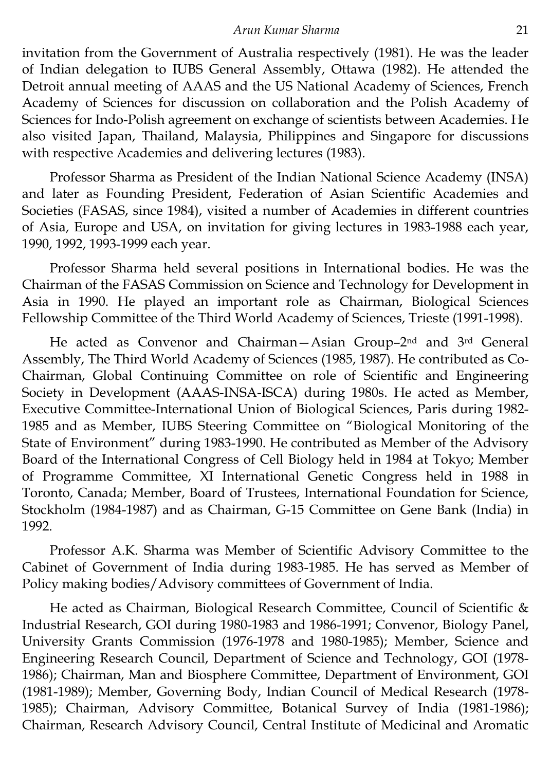invitation from the Government of Australia respectively (1981). He was the leader of Indian delegation to IUBS General Assembly, Ottawa (1982). He attended the Detroit annual meeting of AAAS and the US National Academy of Sciences, French Academy of Sciences for discussion on collaboration and the Polish Academy of Sciences for Indo-Polish agreement on exchange of scientists between Academies. He also visited Japan, Thailand, Malaysia, Philippines and Singapore for discussions with respective Academies and delivering lectures (1983).

 Professor Sharma as President of the Indian National Science Academy (INSA) and later as Founding President, Federation of Asian Scientific Academies and Societies (FASAS, since 1984), visited a number of Academies in different countries of Asia, Europe and USA, on invitation for giving lectures in 1983-1988 each year, 1990, 1992, 1993-1999 each year.

 Professor Sharma held several positions in International bodies. He was the Chairman of the FASAS Commission on Science and Technology for Development in Asia in 1990. He played an important role as Chairman, Biological Sciences Fellowship Committee of the Third World Academy of Sciences, Trieste (1991-1998).

 He acted as Convenor and Chairman—Asian Group–2nd and 3rd General Assembly, The Third World Academy of Sciences (1985, 1987). He contributed as Co-Chairman, Global Continuing Committee on role of Scientific and Engineering Society in Development (AAAS-INSA-ISCA) during 1980s. He acted as Member, Executive Committee-International Union of Biological Sciences, Paris during 1982- 1985 and as Member, IUBS Steering Committee on "Biological Monitoring of the State of Environment" during 1983-1990. He contributed as Member of the Advisory Board of the International Congress of Cell Biology held in 1984 at Tokyo; Member of Programme Committee, XI International Genetic Congress held in 1988 in Toronto, Canada; Member, Board of Trustees, International Foundation for Science, Stockholm (1984-1987) and as Chairman, G-15 Committee on Gene Bank (India) in 1992.

 Professor A.K. Sharma was Member of Scientific Advisory Committee to the Cabinet of Government of India during 1983-1985. He has served as Member of Policy making bodies/Advisory committees of Government of India.

 He acted as Chairman, Biological Research Committee, Council of Scientific & Industrial Research, GOI during 1980-1983 and 1986-1991; Convenor, Biology Panel, University Grants Commission (1976-1978 and 1980-1985); Member, Science and Engineering Research Council, Department of Science and Technology, GOI (1978- 1986); Chairman, Man and Biosphere Committee, Department of Environment, GOI (1981-1989); Member, Governing Body, Indian Council of Medical Research (1978- 1985); Chairman, Advisory Committee, Botanical Survey of India (1981-1986); Chairman, Research Advisory Council, Central Institute of Medicinal and Aromatic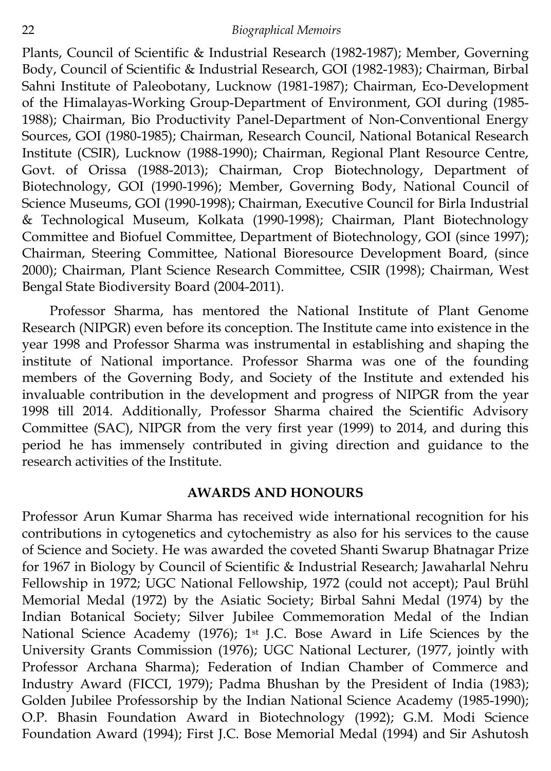Plants, Council of Scientific & Industrial Research (1982-1987); Member, Governing Body, Council of Scientific & Industrial Research, GOI (1982-1983); Chairman, Birbal Sahni Institute of Paleobotany, Lucknow (1981-1987); Chairman, Eco-Development of the Himalayas-Working Group-Department of Environment, GOI during (1985- 1988); Chairman, Bio Productivity Panel-Department of Non-Conventional Energy Sources, GOI (1980-1985); Chairman, Research Council, National Botanical Research Institute (CSIR), Lucknow (1988-1990); Chairman, Regional Plant Resource Centre, Govt. of Orissa (1988-2013); Chairman, Crop Biotechnology, Department of Biotechnology, GOI (1990-1996); Member, Governing Body, National Council of Science Museums, GOI (1990-1998); Chairman, Executive Council for Birla Industrial & Technological Museum, Kolkata (1990-1998); Chairman, Plant Biotechnology Committee and Biofuel Committee, Department of Biotechnology, GOI (since 1997); Chairman, Steering Committee, National Bioresource Development Board, (since 2000); Chairman, Plant Science Research Committee, CSIR (1998); Chairman, West Bengal State Biodiversity Board (2004-2011).

 Professor Sharma, has mentored the National Institute of Plant Genome Research (NIPGR) even before its conception. The Institute came into existence in the year 1998 and Professor Sharma was instrumental in establishing and shaping the institute of National importance. Professor Sharma was one of the founding members of the Governing Body, and Society of the Institute and extended his invaluable contribution in the development and progress of NIPGR from the year 1998 till 2014. Additionally, Professor Sharma chaired the Scientific Advisory Committee (SAC), NIPGR from the very first year (1999) to 2014, and during this period he has immensely contributed in giving direction and guidance to the research activities of the Institute.

### **AWARDS AND HONOURS**

Professor Arun Kumar Sharma has received wide international recognition for his contributions in cytogenetics and cytochemistry as also for his services to the cause of Science and Society. He was awarded the coveted Shanti Swarup Bhatnagar Prize for 1967 in Biology by Council of Scientific & Industrial Research; Jawaharlal Nehru Fellowship in 1972; UGC National Fellowship, 1972 (could not accept); Paul Brühl Memorial Medal (1972) by the Asiatic Society; Birbal Sahni Medal (1974) by the Indian Botanical Society; Silver Jubilee Commemoration Medal of the Indian National Science Academy (1976); 1st J.C. Bose Award in Life Sciences by the University Grants Commission (1976); UGC National Lecturer, (1977, jointly with Professor Archana Sharma); Federation of Indian Chamber of Commerce and Industry Award (FICCI, 1979); Padma Bhushan by the President of India (1983); Golden Jubilee Professorship by the Indian National Science Academy (1985-1990); O.P. Bhasin Foundation Award in Biotechnology (1992); G.M. Modi Science Foundation Award (1994); First J.C. Bose Memorial Medal (1994) and Sir Ashutosh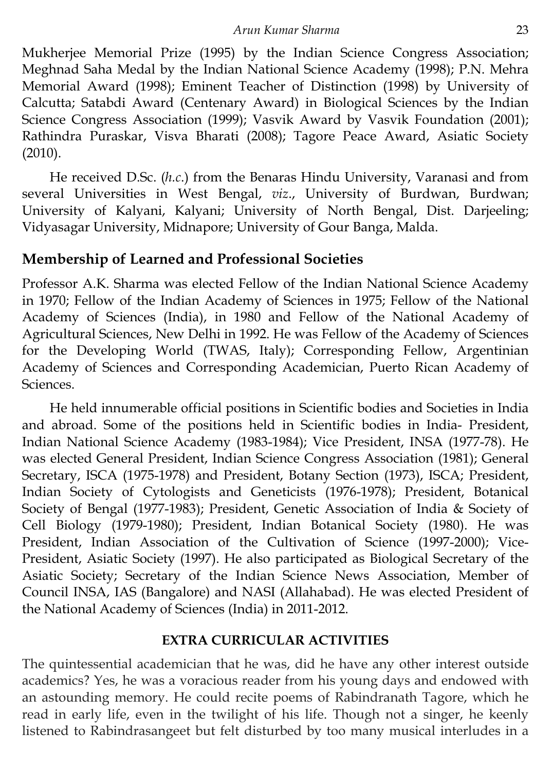Mukherjee Memorial Prize (1995) by the Indian Science Congress Association; Meghnad Saha Medal by the Indian National Science Academy (1998); P.N. Mehra Memorial Award (1998); Eminent Teacher of Distinction (1998) by University of Calcutta; Satabdi Award (Centenary Award) in Biological Sciences by the Indian Science Congress Association (1999); Vasvik Award by Vasvik Foundation (2001); Rathindra Puraskar, Visva Bharati (2008); Tagore Peace Award, Asiatic Society (2010).

 He received D.Sc. (*h.c*.) from the Benaras Hindu University, Varanasi and from several Universities in West Bengal, *viz*., University of Burdwan, Burdwan; University of Kalyani, Kalyani; University of North Bengal, Dist. Darjeeling; Vidyasagar University, Midnapore; University of Gour Banga, Malda.

# **Membership of Learned and Professional Societies**

Professor A.K. Sharma was elected Fellow of the Indian National Science Academy in 1970; Fellow of the Indian Academy of Sciences in 1975; Fellow of the National Academy of Sciences (India), in 1980 and Fellow of the National Academy of Agricultural Sciences, New Delhi in 1992. He was Fellow of the Academy of Sciences for the Developing World (TWAS, Italy); Corresponding Fellow, Argentinian Academy of Sciences and Corresponding Academician, Puerto Rican Academy of Sciences.

 He held innumerable official positions in Scientific bodies and Societies in India and abroad. Some of the positions held in Scientific bodies in India- President, Indian National Science Academy (1983-1984); Vice President, INSA (1977-78). He was elected General President, Indian Science Congress Association (1981); General Secretary, ISCA (1975-1978) and President, Botany Section (1973), ISCA; President, Indian Society of Cytologists and Geneticists (1976-1978); President, Botanical Society of Bengal (1977-1983); President, Genetic Association of India & Society of Cell Biology (1979-1980); President, Indian Botanical Society (1980). He was President, Indian Association of the Cultivation of Science (1997-2000); Vice-President, Asiatic Society (1997). He also participated as Biological Secretary of the Asiatic Society; Secretary of the Indian Science News Association, Member of Council INSA, IAS (Bangalore) and NASI (Allahabad). He was elected President of the National Academy of Sciences (India) in 2011-2012.

# **EXTRA CURRICULAR ACTIVITIES**

The quintessential academician that he was, did he have any other interest outside academics? Yes, he was a voracious reader from his young days and endowed with an astounding memory. He could recite poems of Rabindranath Tagore, which he read in early life, even in the twilight of his life. Though not a singer, he keenly listened to Rabindrasangeet but felt disturbed by too many musical interludes in a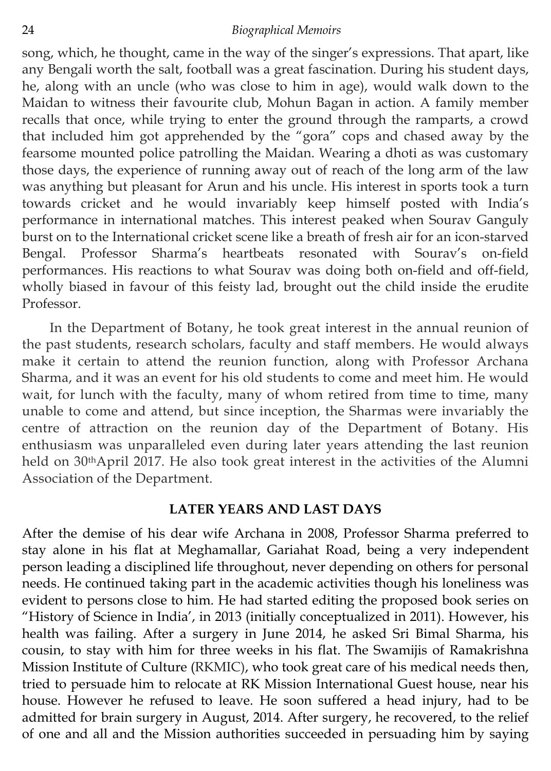song, which, he thought, came in the way of the singer's expressions. That apart, like any Bengali worth the salt, football was a great fascination. During his student days, he, along with an uncle (who was close to him in age), would walk down to the Maidan to witness their favourite club, Mohun Bagan in action. A family member recalls that once, while trying to enter the ground through the ramparts, a crowd that included him got apprehended by the "gora" cops and chased away by the fearsome mounted police patrolling the Maidan. Wearing a dhoti as was customary those days, the experience of running away out of reach of the long arm of the law was anything but pleasant for Arun and his uncle. His interest in sports took a turn towards cricket and he would invariably keep himself posted with India's performance in international matches. This interest peaked when Sourav Ganguly burst on to the International cricket scene like a breath of fresh air for an icon-starved Bengal. Professor Sharma's heartbeats resonated with Sourav's on-field performances. His reactions to what Sourav was doing both on-field and off-field, wholly biased in favour of this feisty lad, brought out the child inside the erudite Professor.

 In the Department of Botany, he took great interest in the annual reunion of the past students, research scholars, faculty and staff members. He would always make it certain to attend the reunion function, along with Professor Archana Sharma, and it was an event for his old students to come and meet him. He would wait, for lunch with the faculty, many of whom retired from time to time, many unable to come and attend, but since inception, the Sharmas were invariably the centre of attraction on the reunion day of the Department of Botany. His enthusiasm was unparalleled even during later years attending the last reunion held on 30thApril 2017. He also took great interest in the activities of the Alumni Association of the Department.

### **LATER YEARS AND LAST DAYS**

After the demise of his dear wife Archana in 2008, Professor Sharma preferred to stay alone in his flat at Meghamallar, Gariahat Road, being a very independent person leading a disciplined life throughout, never depending on others for personal needs. He continued taking part in the academic activities though his loneliness was evident to persons close to him. He had started editing the proposed book series on "History of Science in India', in 2013 (initially conceptualized in 2011). However, his health was failing. After a surgery in June 2014, he asked Sri Bimal Sharma, his cousin, to stay with him for three weeks in his flat. The Swamijis of Ramakrishna Mission Institute of Culture (RKMIC), who took great care of his medical needs then, tried to persuade him to relocate at RK Mission International Guest house, near his house. However he refused to leave. He soon suffered a head injury, had to be admitted for brain surgery in August, 2014. After surgery, he recovered, to the relief of one and all and the Mission authorities succeeded in persuading him by saying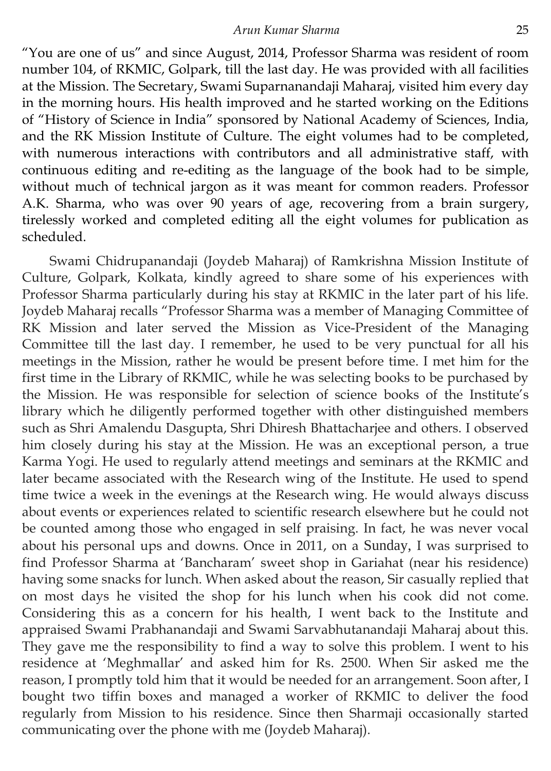"You are one of us" and since August, 2014, Professor Sharma was resident of room number 104, of RKMIC, Golpark, till the last day. He was provided with all facilities at the Mission. The Secretary, Swami Suparnanandaji Maharaj, visited him every day in the morning hours. His health improved and he started working on the Editions of "History of Science in India" sponsored by National Academy of Sciences, India, and the RK Mission Institute of Culture. The eight volumes had to be completed, with numerous interactions with contributors and all administrative staff, with continuous editing and re-editing as the language of the book had to be simple, without much of technical jargon as it was meant for common readers. Professor A.K. Sharma, who was over 90 years of age, recovering from a brain surgery, tirelessly worked and completed editing all the eight volumes for publication as scheduled.

 Swami Chidrupanandaji (Joydeb Maharaj) of Ramkrishna Mission Institute of Culture, Golpark, Kolkata, kindly agreed to share some of his experiences with Professor Sharma particularly during his stay at RKMIC in the later part of his life. Joydeb Maharaj recalls "Professor Sharma was a member of Managing Committee of RK Mission and later served the Mission as Vice-President of the Managing Committee till the last day. I remember, he used to be very punctual for all his meetings in the Mission, rather he would be present before time. I met him for the first time in the Library of RKMIC, while he was selecting books to be purchased by the Mission. He was responsible for selection of science books of the Institute's library which he diligently performed together with other distinguished members such as Shri Amalendu Dasgupta, Shri Dhiresh Bhattacharjee and others. I observed him closely during his stay at the Mission. He was an exceptional person, a true Karma Yogi. He used to regularly attend meetings and seminars at the RKMIC and later became associated with the Research wing of the Institute. He used to spend time twice a week in the evenings at the Research wing. He would always discuss about events or experiences related to scientific research elsewhere but he could not be counted among those who engaged in self praising. In fact, he was never vocal about his personal ups and downs. Once in 2011, on a Sunday, I was surprised to find Professor Sharma at 'Bancharam' sweet shop in Gariahat (near his residence) having some snacks for lunch. When asked about the reason, Sir casually replied that on most days he visited the shop for his lunch when his cook did not come. Considering this as a concern for his health, I went back to the Institute and appraised Swami Prabhanandaji and Swami Sarvabhutanandaji Maharaj about this. They gave me the responsibility to find a way to solve this problem. I went to his residence at 'Meghmallar' and asked him for Rs. 2500. When Sir asked me the reason, I promptly told him that it would be needed for an arrangement. Soon after, I bought two tiffin boxes and managed a worker of RKMIC to deliver the food regularly from Mission to his residence. Since then Sharmaji occasionally started communicating over the phone with me (Joydeb Maharaj).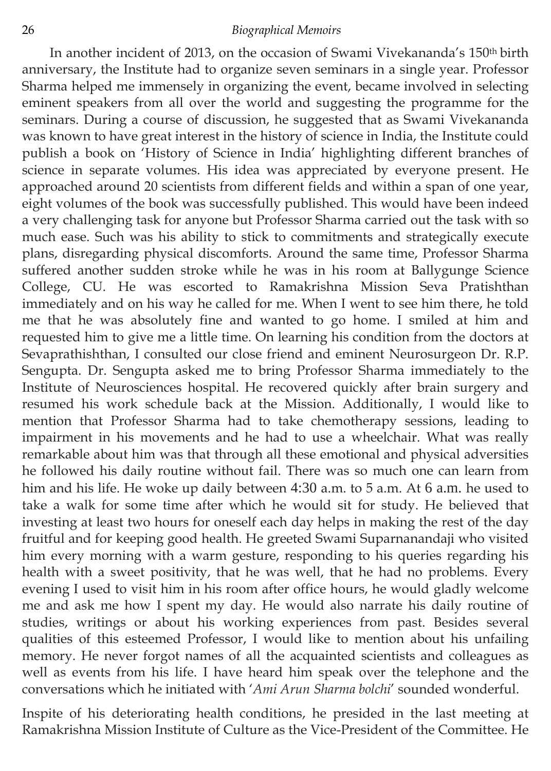In another incident of 2013, on the occasion of Swami Vivekananda's 150th birth anniversary, the Institute had to organize seven seminars in a single year. Professor Sharma helped me immensely in organizing the event, became involved in selecting eminent speakers from all over the world and suggesting the programme for the seminars. During a course of discussion, he suggested that as Swami Vivekananda was known to have great interest in the history of science in India, the Institute could publish a book on 'History of Science in India' highlighting different branches of science in separate volumes. His idea was appreciated by everyone present. He approached around 20 scientists from different fields and within a span of one year, eight volumes of the book was successfully published. This would have been indeed a very challenging task for anyone but Professor Sharma carried out the task with so much ease. Such was his ability to stick to commitments and strategically execute plans, disregarding physical discomforts. Around the same time, Professor Sharma suffered another sudden stroke while he was in his room at Ballygunge Science College, CU. He was escorted to Ramakrishna Mission Seva Pratishthan immediately and on his way he called for me. When I went to see him there, he told me that he was absolutely fine and wanted to go home. I smiled at him and requested him to give me a little time. On learning his condition from the doctors at Sevaprathishthan, I consulted our close friend and eminent Neurosurgeon Dr. R.P. Sengupta. Dr. Sengupta asked me to bring Professor Sharma immediately to the Institute of Neurosciences hospital. He recovered quickly after brain surgery and resumed his work schedule back at the Mission. Additionally, I would like to mention that Professor Sharma had to take chemotherapy sessions, leading to impairment in his movements and he had to use a wheelchair. What was really remarkable about him was that through all these emotional and physical adversities he followed his daily routine without fail. There was so much one can learn from him and his life. He woke up daily between 4:30 a.m. to 5 a.m. At 6 a.m. he used to take a walk for some time after which he would sit for study. He believed that investing at least two hours for oneself each day helps in making the rest of the day fruitful and for keeping good health. He greeted Swami Suparnanandaji who visited him every morning with a warm gesture, responding to his queries regarding his health with a sweet positivity, that he was well, that he had no problems. Every evening I used to visit him in his room after office hours, he would gladly welcome me and ask me how I spent my day. He would also narrate his daily routine of studies, writings or about his working experiences from past. Besides several qualities of this esteemed Professor, I would like to mention about his unfailing memory. He never forgot names of all the acquainted scientists and colleagues as well as events from his life. I have heard him speak over the telephone and the conversations which he initiated with '*Ami Arun Sharma bolchi*' sounded wonderful.

Inspite of his deteriorating health conditions, he presided in the last meeting at Ramakrishna Mission Institute of Culture as the Vice-President of the Committee. He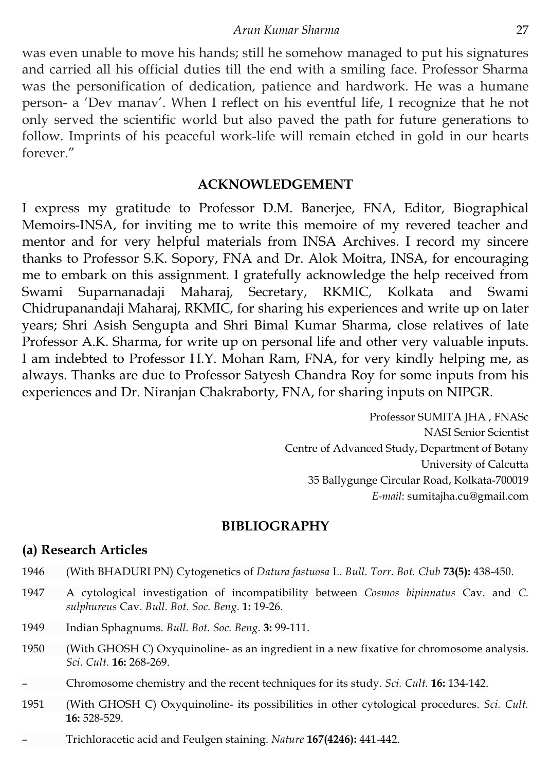was even unable to move his hands; still he somehow managed to put his signatures and carried all his official duties till the end with a smiling face. Professor Sharma was the personification of dedication, patience and hardwork. He was a humane person- a 'Dev manav'. When I reflect on his eventful life, I recognize that he not only served the scientific world but also paved the path for future generations to follow. Imprints of his peaceful work-life will remain etched in gold in our hearts forever."

## **ACKNOWLEDGEMENT**

I express my gratitude to Professor D.M. Banerjee, FNA, Editor, Biographical Memoirs-INSA, for inviting me to write this memoire of my revered teacher and mentor and for very helpful materials from INSA Archives. I record my sincere thanks to Professor S.K. Sopory, FNA and Dr. Alok Moitra, INSA, for encouraging me to embark on this assignment. I gratefully acknowledge the help received from Swami Suparnanadaji Maharaj, Secretary, RKMIC, Kolkata and Swami Chidrupanandaji Maharaj, RKMIC, for sharing his experiences and write up on later years; Shri Asish Sengupta and Shri Bimal Kumar Sharma, close relatives of late Professor A.K. Sharma, for write up on personal life and other very valuable inputs. I am indebted to Professor H.Y. Mohan Ram, FNA, for very kindly helping me, as always. Thanks are due to Professor Satyesh Chandra Roy for some inputs from his experiences and Dr. Niranjan Chakraborty, FNA, for sharing inputs on NIPGR.

> Professor SUMITA JHA , FNASc NASI Senior Scientist Centre of Advanced Study, Department of Botany University of Calcutta 35 Ballygunge Circular Road, Kolkata-700019 *E-mail*: sumitajha.cu@gmail.com

# **BIBLIOGRAPHY**

# **(a) Research Articles**

- 1946 (With BHADURI PN) Cytogenetics of *Datura fastuosa* L. *Bull. Torr. Bot. Club* **73(5):** 438-450.
- 1947 A cytological investigation of incompatibility between *Cosmos bipinnatus* Cav. and *C. sulphureus* Cav. *Bull. Bot. Soc. Beng.* **1:** 19-26.
- 1949 Indian Sphagnums. *Bull. Bot. Soc. Beng.* **3:** 99-111.
- 1950 (With GHOSH C) Oxyquinoline- as an ingredient in a new fixative for chromosome analysis. *Sci. Cult.* **16:** 268-269.
- Chromosome chemistry and the recent techniques for its study. *Sci. Cult.* **16:** 134-142.
- 1951 (With GHOSH C) Oxyquinoline- its possibilities in other cytological procedures. *Sci. Cult.* **16:** 528-529.
- Trichloracetic acid and Feulgen staining. *Nature* **167(4246):** 441-442.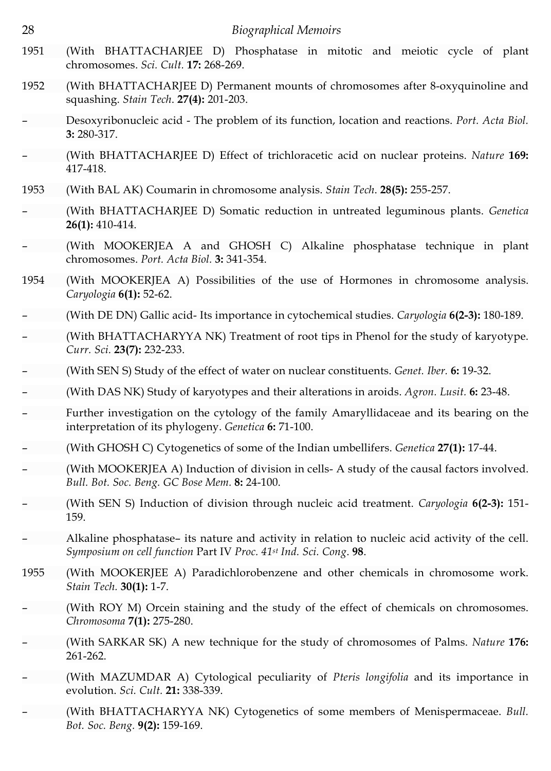| 28   | <b>Biographical Memoirs</b>                                                                                                                                                      |
|------|----------------------------------------------------------------------------------------------------------------------------------------------------------------------------------|
| 1951 | (With BHATTACHARJEE D) Phosphatase in mitotic and meiotic cycle of plant<br>chromosomes. Sci. Cult. 17: 268-269.                                                                 |
| 1952 | (With BHATTACHARJEE D) Permanent mounts of chromosomes after 8-oxyquinoline and<br>squashing. Stain Tech. 27(4): 201-203.                                                        |
|      | Desoxyribonucleic acid - The problem of its function, location and reactions. Port. Acta Biol.<br>3: 280-317.                                                                    |
|      | (With BHATTACHARJEE D) Effect of trichloracetic acid on nuclear proteins. Nature 169:<br>417-418.                                                                                |
| 1953 | (With BAL AK) Coumarin in chromosome analysis. Stain Tech. 28(5): 255-257.                                                                                                       |
|      | (With BHATTACHARJEE D) Somatic reduction in untreated leguminous plants. Genetica<br>$26(1): 410-414.$                                                                           |
|      | (With MOOKERJEA A and GHOSH C) Alkaline phosphatase technique in plant<br>chromosomes. Port. Acta Biol. 3: 341-354.                                                              |
| 1954 | (With MOOKERJEA A) Possibilities of the use of Hormones in chromosome analysis.<br>Caryologia 6(1): 52-62.                                                                       |
|      | (With DE DN) Gallic acid- Its importance in cytochemical studies. Caryologia 6(2-3): 180-189.                                                                                    |
|      | (With BHATTACHARYYA NK) Treatment of root tips in Phenol for the study of karyotype.<br>Curr. Sci. 23(7): 232-233.                                                               |
|      | (With SEN S) Study of the effect of water on nuclear constituents. Genet. Iber. 6: 19-32.                                                                                        |
|      | (With DAS NK) Study of karyotypes and their alterations in aroids. Agron. Lusit. 6: 23-48.                                                                                       |
|      | Further investigation on the cytology of the family Amaryllidaceae and its bearing on the<br>interpretation of its phylogeny. Genetica 6: 71-100.                                |
|      | (With GHOSH C) Cytogenetics of some of the Indian umbellifers. Genetica 27(1): 17-44.                                                                                            |
|      | (With MOOKERJEA A) Induction of division in cells-A study of the causal factors involved.<br>Bull. Bot. Soc. Beng. GC Bose Mem. 8: 24-100.                                       |
|      | (With SEN S) Induction of division through nucleic acid treatment. Caryologia 6(2-3): 151-<br>159.                                                                               |
|      | Alkaline phosphatase- its nature and activity in relation to nucleic acid activity of the cell.<br>Symposium on cell function Part IV Proc. 41 <sup>st</sup> Ind. Sci. Cong. 98. |
| 1955 | (With MOOKERJEE A) Paradichlorobenzene and other chemicals in chromosome work.<br>Stain Tech. 30(1): 1-7.                                                                        |
|      | (With ROY M) Orcein staining and the study of the effect of chemicals on chromosomes.<br>Chromosoma 7(1): 275-280.                                                               |
|      | (With SARKAR SK) A new technique for the study of chromosomes of Palms. Nature 176:<br>261-262.                                                                                  |
|      | (With MAZUMDAR A) Cytological peculiarity of Pteris longifolia and its importance in<br>evolution. Sci. Cult. 21: 338-339.                                                       |
|      | (With BHATTACHARYYA NK) Cytogenetics of some members of Menispermaceae. Bull.<br>Bot. Soc. Beng. 9(2): 159-169.                                                                  |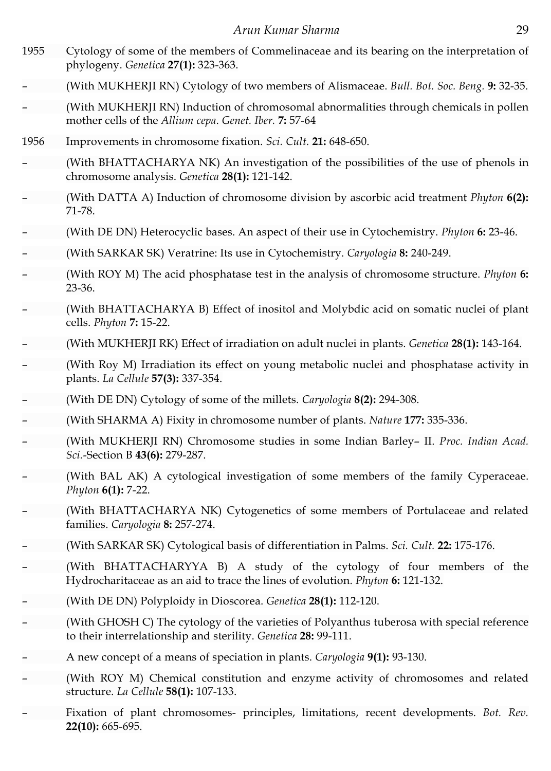- 1955 Cytology of some of the members of Commelinaceae and its bearing on the interpretation of phylogeny. *Genetica* **27(1):** 323-363.
- (With MUKHERJI RN) Cytology of two members of Alismaceae. *Bull. Bot. Soc. Beng.* **9:** 32-35.
- (With MUKHERJI RN) Induction of chromosomal abnormalities through chemicals in pollen mother cells of the *Allium cepa*. *Genet. Iber.* **7:** 57-64
- 1956 Improvements in chromosome fixation. *Sci. Cult.* **21:** 648-650.
- (With BHATTACHARYA NK) An investigation of the possibilities of the use of phenols in chromosome analysis. *Genetica* **28(1):** 121-142.
- (With DATTA A) Induction of chromosome division by ascorbic acid treatment *Phyton* **6(2):** 71-78.
- (With DE DN) Heterocyclic bases. An aspect of their use in Cytochemistry. *Phyton* **6:** 23-46.
- (With SARKAR SK) Veratrine: Its use in Cytochemistry. *Caryologia* **8:** 240-249.
- (With ROY M) The acid phosphatase test in the analysis of chromosome structure. *Phyton* **6:** 23-36.
- (With BHATTACHARYA B) Effect of inositol and Molybdic acid on somatic nuclei of plant cells. *Phyton* **7:** 15-22.
- (With MUKHERJI RK) Effect of irradiation on adult nuclei in plants. *Genetica* **28(1):** 143-164.
- (With Roy M) Irradiation its effect on young metabolic nuclei and phosphatase activity in plants. *La Cellule* **57(3):** 337-354.
- (With DE DN) Cytology of some of the millets. *Caryologia* **8(2):** 294-308.
- (With SHARMA A) Fixity in chromosome number of plants. *Nature* **177:** 335-336.
- (With MUKHERJI RN) Chromosome studies in some Indian Barley– II. *Proc. Indian Acad. Sci.*-Section B **43(6):** 279-287.
- (With BAL AK) A cytological investigation of some members of the family Cyperaceae. *Phyton* **6(1):** 7-22.
- (With BHATTACHARYA NK) Cytogenetics of some members of Portulaceae and related families. *Caryologia* **8:** 257-274.
- (With SARKAR SK) Cytological basis of differentiation in Palms. *Sci. Cult.* **22:** 175-176.
- (With BHATTACHARYYA B) A study of the cytology of four members of the Hydrocharitaceae as an aid to trace the lines of evolution. *Phyton* **6:** 121-132.
- (With DE DN) Polyploidy in Dioscorea. *Genetica* **28(1):** 112-120.
- (With GHOSH C) The cytology of the varieties of Polyanthus tuberosa with special reference to their interrelationship and sterility. *Genetica* **28:** 99-111.
- A new concept of a means of speciation in plants. *Caryologia* **9(1):** 93-130.
- (With ROY M) Chemical constitution and enzyme activity of chromosomes and related structure. *La Cellule* **58(1):** 107-133.
- Fixation of plant chromosomes- principles, limitations, recent developments. *Bot. Rev.* **22(10):** 665-695.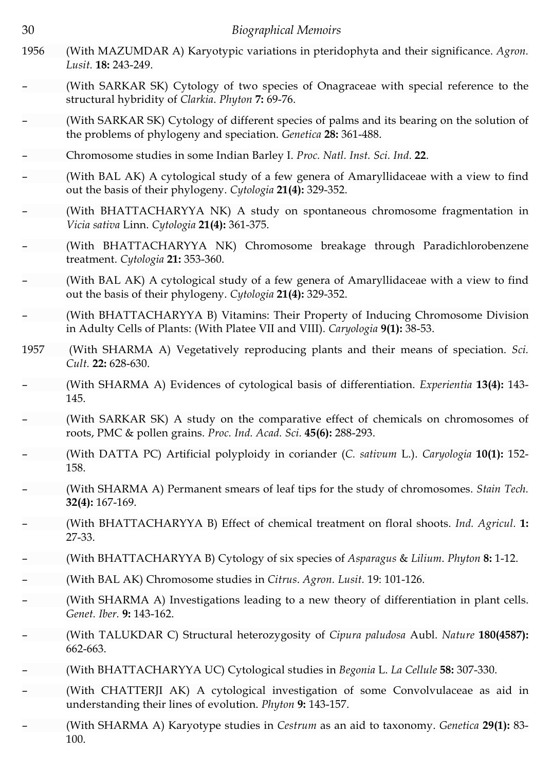| 30   | <b>Biographical Memoirs</b>                                                                                                                                       |
|------|-------------------------------------------------------------------------------------------------------------------------------------------------------------------|
| 1956 | (With MAZUMDAR A) Karyotypic variations in pteridophyta and their significance. Agron.<br>Lusit. 18: 243-249.                                                     |
|      | (With SARKAR SK) Cytology of two species of Onagraceae with special reference to the<br>structural hybridity of Clarkia. Phyton 7: 69-76.                         |
|      | (With SARKAR SK) Cytology of different species of palms and its bearing on the solution of<br>the problems of phylogeny and speciation. Genetica 28: 361-488.     |
|      | Chromosome studies in some Indian Barley I. Proc. Natl. Inst. Sci. Ind. 22.                                                                                       |
|      | (With BAL AK) A cytological study of a few genera of Amaryllidaceae with a view to find<br>out the basis of their phylogeny. Cytologia 21(4): 329-352.            |
|      | (With BHATTACHARYYA NK) A study on spontaneous chromosome fragmentation in<br>Vicia sativa Linn. Cytologia 21(4): 361-375.                                        |
|      | (With BHATTACHARYYA NK) Chromosome breakage through Paradichlorobenzene<br>treatment. Cytologia 21: 353-360.                                                      |
|      | (With BAL AK) A cytological study of a few genera of Amaryllidaceae with a view to find<br>out the basis of their phylogeny. Cytologia 21(4): 329-352.            |
|      | (With BHATTACHARYYA B) Vitamins: Their Property of Inducing Chromosome Division<br>in Adulty Cells of Plants: (With Platee VII and VIII). Caryologia 9(1): 38-53. |
| 1957 | (With SHARMA A) Vegetatively reproducing plants and their means of speciation. Sci.<br>Cult. 22: 628-630.                                                         |
|      | (With SHARMA A) Evidences of cytological basis of differentiation. Experientia 13(4): 143-<br>145.                                                                |
|      | (With SARKAR SK) A study on the comparative effect of chemicals on chromosomes of<br>roots, PMC & pollen grains. Proc. Ind. Acad. Sci. 45(6): 288-293.            |
|      | (With DATTA PC) Artificial polyploidy in coriander (C. sativum L.). Caryologia 10(1): 152-<br>158.                                                                |
|      | (With SHARMA A) Permanent smears of leaf tips for the study of chromosomes. Stain Tech.<br>32(4): 167-169.                                                        |
|      | (With BHATTACHARYYA B) Effect of chemical treatment on floral shoots. Ind. Agricul. 1:<br>27-33.                                                                  |
|      | (With BHATTACHARYYA B) Cytology of six species of Asparagus & Lilium. Phyton 8: 1-12.                                                                             |
|      | (With BAL AK) Chromosome studies in Citrus. Agron. Lusit. 19: 101-126.                                                                                            |
|      | (With SHARMA A) Investigations leading to a new theory of differentiation in plant cells.<br>Genet. Iber. 9: 143-162.                                             |
|      | (With TALUKDAR C) Structural heterozygosity of Cipura paludosa Aubl. Nature 180(4587):<br>662-663.                                                                |
|      | (With BHATTACHARYYA UC) Cytological studies in Begonia L. La Cellule 58: 307-330.                                                                                 |
|      | (With CHATTERJI AK) A cytological investigation of some Convolvulaceae as aid in<br>understanding their lines of evolution. Phyton 9: 143-157.                    |

– (With SHARMA A) Karyotype studies in *Cestrum* as an aid to taxonomy. *Genetica* **29(1):** 83-  $100.$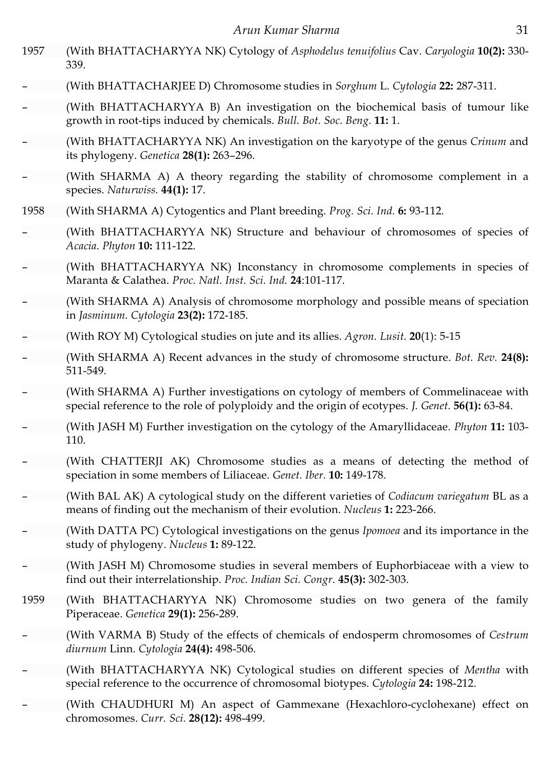- 1957 (With BHATTACHARYYA NK) Cytology of *Asphodelus tenuifolius* Cav. *Caryologia* **10(2):** 330- 339.
- (With BHATTACHARJEE D) Chromosome studies in *Sorghum* L. *Cytologia* **22:** 287-311.
- (With BHATTACHARYYA B) An investigation on the biochemical basis of tumour like growth in root-tips induced by chemicals. *Bull. Bot. Soc. Beng.* **11:** 1.
- (With BHATTACHARYYA NK) An investigation on the karyotype of the genus *Crinum* and its phylogeny. *Genetica* **28(1):** 263–296.
- (With SHARMA A) A theory regarding the stability of chromosome complement in a species. *Naturwiss.* **44(1):** 17.
- 1958 (With SHARMA A) Cytogentics and Plant breeding. *Prog. Sci. Ind.* **6:** 93-112.
- (With BHATTACHARYYA NK) Structure and behaviour of chromosomes of species of *Acacia*. *Phyton* **10:** 111-122.
- (With BHATTACHARYYA NK) Inconstancy in chromosome complements in species of Maranta & Calathea. *Proc. Natl. Inst. Sci. Ind.* **24**:101-117.
- (With SHARMA A) Analysis of chromosome morphology and possible means of speciation in *Jasminum*. *Cytologia* **23(2):** 172-185.
- (With ROY M) Cytological studies on jute and its allies. *Agron. Lusit.* **20**(1): 5-15
- (With SHARMA A) Recent advances in the study of chromosome structure. *Bot. Rev.* **24(8):** 511-549.
- (With SHARMA A) Further investigations on cytology of members of Commelinaceae with special reference to the role of polyploidy and the origin of ecotypes. *J. Genet.* **56(1):** 63-84.
- (With JASH M) Further investigation on the cytology of the Amaryllidaceae. *Phyton* **11:** 103- 110.
- (With CHATTERJI AK) Chromosome studies as a means of detecting the method of speciation in some members of Liliaceae. *Genet. Iber.* **10:** 149-178.
- (With BAL AK) A cytological study on the different varieties of *Codiacum variegatum* BL as a means of finding out the mechanism of their evolution. *Nucleus* **1:** 223-266.
- (With DATTA PC) Cytological investigations on the genus *Ipomoea* and its importance in the study of phylogeny. *Nucleus* **1:** 89-122.
- (With JASH M) Chromosome studies in several members of Euphorbiaceae with a view to find out their interrelationship. *Proc. Indian Sci. Congr*. **45(3):** 302-303.
- 1959 (With BHATTACHARYYA NK) Chromosome studies on two genera of the family Piperaceae. *Genetica* **29(1):** 256-289.
- (With VARMA B) Study of the effects of chemicals of endosperm chromosomes of *Cestrum diurnum* Linn. *Cytologia* **24(4):** 498-506.
- (With BHATTACHARYYA NK) Cytological studies on different species of *Mentha* with special reference to the occurrence of chromosomal biotypes. *Cytologia* **24:** 198-212.
- (With CHAUDHURI M) An aspect of Gammexane (Hexachloro-cyclohexane) effect on chromosomes. *Curr. Sci.* **28(12):** 498-499.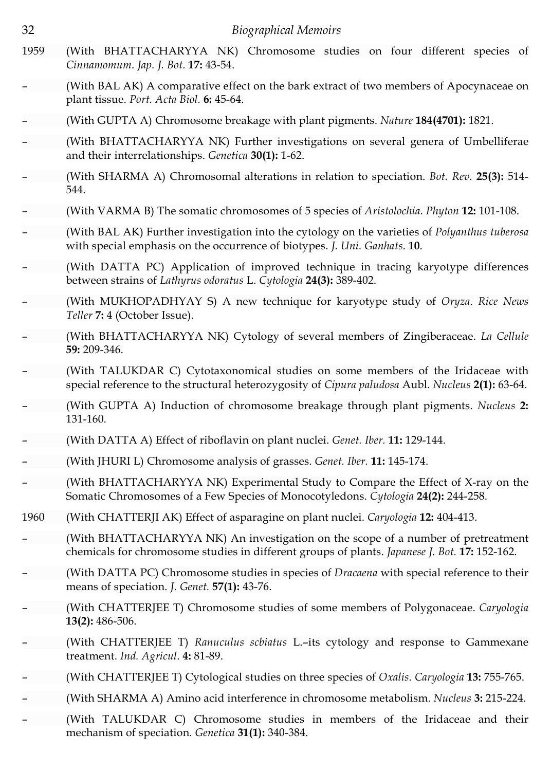|      | wpiwew crienweic                                                                                                                                                                    |
|------|-------------------------------------------------------------------------------------------------------------------------------------------------------------------------------------|
| 1959 | (With BHATTACHARYYA NK) Chromosome studies on four different species of<br>Cinnamomum. Jap. J. Bot. 17: 43-54.                                                                      |
|      | (With BAL AK) A comparative effect on the bark extract of two members of Apocynaceae on<br>plant tissue. Port. Acta Biol. 6: 45-64.                                                 |
|      | (With GUPTA A) Chromosome breakage with plant pigments. Nature 184(4701): 1821.                                                                                                     |
|      | (With BHATTACHARYYA NK) Further investigations on several genera of Umbelliferae<br>and their interrelationships. Genetica 30(1): 1-62.                                             |
|      | (With SHARMA A) Chromosomal alterations in relation to speciation. Bot. Rev. 25(3): 514-<br>544.                                                                                    |
|      | (With VARMA B) The somatic chromosomes of 5 species of Aristolochia. Phyton 12: 101-108.                                                                                            |
|      | (With BAL AK) Further investigation into the cytology on the varieties of Polyanthus tuberosa<br>with special emphasis on the occurrence of biotypes. J. Uni. Ganhats. 10.          |
|      | (With DATTA PC) Application of improved technique in tracing karyotype differences<br>between strains of Lathyrus odoratus L. Cytologia 24(3): 389-402.                             |
|      | (With MUKHOPADHYAY S) A new technique for karyotype study of Oryza. Rice News<br>Teller 7: 4 (October Issue).                                                                       |
|      | (With BHATTACHARYYA NK) Cytology of several members of Zingiberaceae. La Cellule<br>59: 209-346.                                                                                    |
|      | (With TALUKDAR C) Cytotaxonomical studies on some members of the Iridaceae with<br>special reference to the structural heterozygosity of Cipura paludosa Aubl. Nucleus 2(1): 63-64. |
|      | (With GUPTA A) Induction of chromosome breakage through plant pigments. Nucleus 2:<br>131-160.                                                                                      |
|      | (With DATTA A) Effect of riboflavin on plant nuclei. Genet. Iber. 11: 129-144.                                                                                                      |
|      | (With JHURI L) Chromosome analysis of grasses. Genet. Iber. 11: 145-174.                                                                                                            |
|      | (With BHATTACHARYYA NK) Experimental Study to Compare the Effect of X-ray on the<br>Somatic Chromosomes of a Few Species of Monocotyledons. Cytologia 24(2): 244-258.               |
| 1960 | (With CHATTERJI AK) Effect of asparagine on plant nuclei. Caryologia 12: 404-413.                                                                                                   |
|      | (With BHATTACHARYYA NK) An investigation on the scope of a number of pretreatment<br>chemicals for chromosome studies in different groups of plants. Japanese J. Bot. 17: 152-162.  |
|      | (With DATTA PC) Chromosome studies in species of Dracaena with special reference to their<br>means of speciation. J. Genet. 57(1): 43-76.                                           |
|      | (With CHATTERJEE T) Chromosome studies of some members of Polygonaceae. Caryologia<br>13(2): 486-506.                                                                               |
|      | (With CHATTERJEE T) Ranuculus scbiatus L.-its cytology and response to Gammexane<br>treatment. Ind. Agricul. 4: 81-89.                                                              |
|      | (With CHATTERJEE T) Cytological studies on three species of Oxalis. Caryologia 13: 755-765.                                                                                         |
|      | (With SHARMA A) Amino acid interference in chromosome metabolism. Nucleus 3: 215-224.                                                                                               |
|      | (With TALLIVIAR C) Chromosome studies in members of the Indecess and their                                                                                                          |

– (With TALUKDAR C) Chromosome studies in members of the Iridaceae and their mechanism of speciation. *Genetica* **31(1):** 340-384.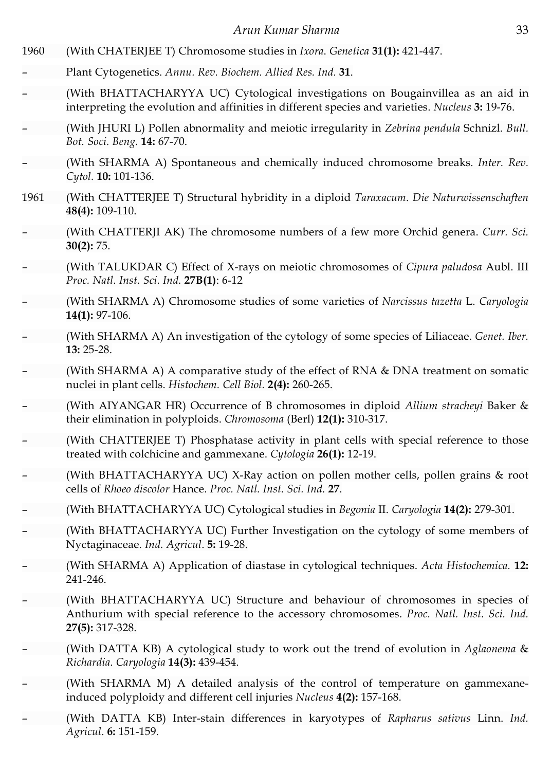- 1960 (With CHATERJEE T) Chromosome studies in *Ixora*. *Genetica* **31(1):** 421-447.
- Plant Cytogenetics. *Annu. Rev. Biochem. Allied Res. Ind.* **31**.
- (With BHATTACHARYYA UC) Cytological investigations on Bougainvillea as an aid in interpreting the evolution and affinities in different species and varieties. *Nucleus* **3:** 19-76.
- (With JHURI L) Pollen abnormality and meiotic irregularity in *Zebrina pendula* Schnizl. *Bull. Bot. Soci. Beng.* **14:** 67-70.
- (With SHARMA A) Spontaneous and chemically induced chromosome breaks. *Inter. Rev. Cytol.* **10:** 101-136.
- 1961 (With CHATTERJEE T) Structural hybridity in a diploid *Taraxacum*. *Die Naturwissenschaften* **48(4):** 109-110.
- (With CHATTERJI AK) The chromosome numbers of a few more Orchid genera. *Curr. Sci.*  **30(2):** 75.
- (With TALUKDAR C) Effect of X-rays on meiotic chromosomes of *Cipura paludosa* Aubl. III *Proc. Natl. Inst. Sci. Ind.* **27B(1)**: 6-12
- (With SHARMA A) Chromosome studies of some varieties of *Narcissus tazetta* L. *Caryologia* **14(1):** 97-106.
- (With SHARMA A) An investigation of the cytology of some species of Liliaceae. *Genet. Iber.* **13:** 25-28.
- (With SHARMA A) A comparative study of the effect of RNA & DNA treatment on somatic nuclei in plant cells. *Histochem. Cell Biol.* **2(4):** 260-265.
- (With AIYANGAR HR) Occurrence of B chromosomes in diploid *Allium stracheyi* Baker & their elimination in polyploids. *Chromosoma* (Berl) **12(1):** 310-317.
- (With CHATTERJEE T) Phosphatase activity in plant cells with special reference to those treated with colchicine and gammexane. *Cytologia* **26(1):** 12-19.
- (With BHATTACHARYYA UC) X-Ray action on pollen mother cells, pollen grains & root cells of *Rhoeo discolor* Hance. *Proc. Natl. Inst. Sci. Ind.* **27**.
- (With BHATTACHARYYA UC) Cytological studies in *Begonia* II. *Caryologia* **14(2):** 279-301.
- (With BHATTACHARYYA UC) Further Investigation on the cytology of some members of Nyctaginaceae. *Ind. Agricul*. **5:** 19-28.
- (With SHARMA A) Application of diastase in cytological techniques. *Acta Histochemica.* **12:** 241-246.
- (With BHATTACHARYYA UC) Structure and behaviour of chromosomes in species of Anthurium with special reference to the accessory chromosomes. *Proc. Natl. Inst. Sci. Ind.* **27(5):** 317-328.
- (With DATTA KB) A cytological study to work out the trend of evolution in *Aglaonema* & *Richardia*. *Caryologia* **14(3):** 439-454.
- (With SHARMA M) A detailed analysis of the control of temperature on gammexaneinduced polyploidy and different cell injuries *Nucleus* **4(2):** 157-168.
- (With DATTA KB) Inter-stain differences in karyotypes of *Rapharus sativus* Linn. *Ind. Agricul*. **6:** 151-159.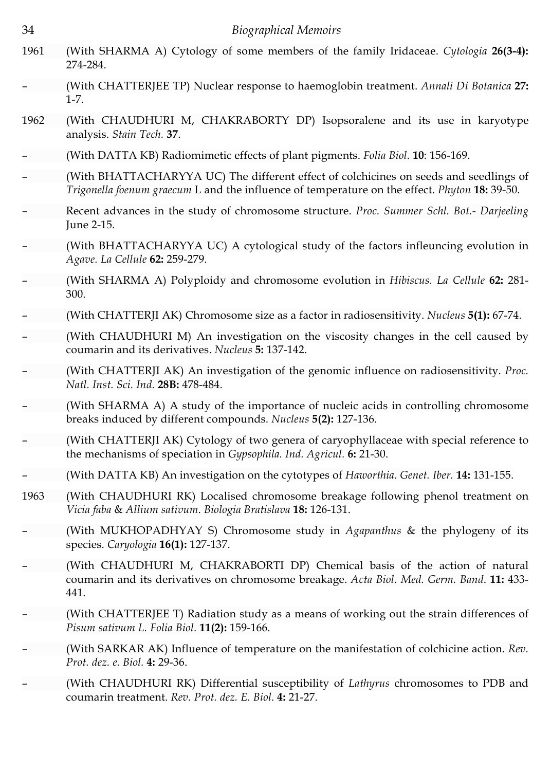| 34   | <b>Biographical Memoirs</b>                                                                                                                                                            |
|------|----------------------------------------------------------------------------------------------------------------------------------------------------------------------------------------|
| 1961 | (With SHARMA A) Cytology of some members of the family Iridaceae. Cytologia 26(3-4):<br>274-284.                                                                                       |
|      | (With CHATTERJEE TP) Nuclear response to haemoglobin treatment. Annali Di Botanica 27:<br>$1 - 7.$                                                                                     |
| 1962 | (With CHAUDHURI M, CHAKRABORTY DP) Isopsoralene and its use in karyotype<br>analysis. Stain Tech. 37.                                                                                  |
|      | (With DATTA KB) Radiomimetic effects of plant pigments. Folia Biol. 10: 156-169.                                                                                                       |
|      | (With BHATTACHARYYA UC) The different effect of colchicines on seeds and seedlings of<br>Trigonella foenum graecum L and the influence of temperature on the effect. Phyton 18: 39-50. |
|      | Recent advances in the study of chromosome structure. Proc. Summer Schl. Bot.- Darjeeling<br>June 2-15.                                                                                |
|      | (With BHATTACHARYYA UC) A cytological study of the factors infleuncing evolution in<br>Agave. La Cellule 62: 259-279.                                                                  |
|      | (With SHARMA A) Polyploidy and chromosome evolution in Hibiscus. La Cellule 62: 281-<br>300.                                                                                           |
|      | (With CHATTERJI AK) Chromosome size as a factor in radiosensitivity. Nucleus 5(1): 67-74.                                                                                              |
|      | (With CHAUDHURI M) An investigation on the viscosity changes in the cell caused by<br>coumarin and its derivatives. Nucleus 5: 137-142.                                                |
|      | (With CHATTERJI AK) An investigation of the genomic influence on radiosensitivity. Proc.<br>Natl. Inst. Sci. Ind. 28B: 478-484.                                                        |
|      | (With SHARMA A) A study of the importance of nucleic acids in controlling chromosome<br>breaks induced by different compounds. Nucleus 5(2): 127-136.                                  |
|      | (With CHATTERJI AK) Cytology of two genera of caryophyllaceae with special reference to<br>the mechanisms of speciation in Gypsophila. Ind. Agricul. 6: 21-30.                         |
|      | (With DATTA KB) An investigation on the cytotypes of Haworthia. Genet. Iber. 14: 131-155.                                                                                              |
| 1963 | (With CHAUDHURI RK) Localised chromosome breakage following phenol treatment on<br>Vicia faba & Allium sativum. Biologia Bratislava 18: 126-131.                                       |
|      | (With MUKHOPADHYAY S) Chromosome study in Agapanthus & the phylogeny of its<br>species. Caryologia 16(1): 127-137.                                                                     |
|      | (With CHAUDHURI M, CHAKRABORTI DP) Chemical basis of the action of natural<br>coumarin and its derivatives on chromosome breakage. Acta Biol. Med. Germ. Band. 11: 433-<br>441.        |
|      | (With CHATTERJEE T) Radiation study as a means of working out the strain differences of<br>Pisum sativum L. Folia Biol. 11(2): 159-166.                                                |

- (With SARKAR AK) Influence of temperature on the manifestation of colchicine action. *Rev. Prot. dez. e. Biol.* **4:** 29-36.
- (With CHAUDHURI RK) Differential susceptibility of *Lathyrus* chromosomes to PDB and coumarin treatment. *Rev. Prot. dez. E. Biol.* **4:** 21-27.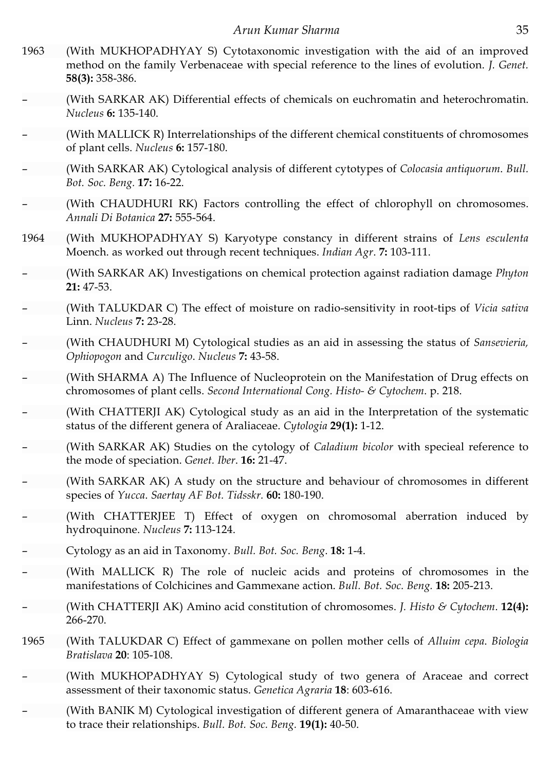- 1963 (With MUKHOPADHYAY S) Cytotaxonomic investigation with the aid of an improved method on the family Verbenaceae with special reference to the lines of evolution. *J. Genet.* **58(3):** 358-386.
- (With SARKAR AK) Differential effects of chemicals on euchromatin and heterochromatin. *Nucleus* **6:** 135-140.
- (With MALLICK R) Interrelationships of the different chemical constituents of chromosomes of plant cells. *Nucleus* **6:** 157-180.
- (With SARKAR AK) Cytological analysis of different cytotypes of *Colocasia antiquorum*. *Bull. Bot. Soc. Beng.* **17:** 16-22.
- (With CHAUDHURI RK) Factors controlling the effect of chlorophyll on chromosomes. *Annali Di Botanica* **27:** 555-564.
- 1964 (With MUKHOPADHYAY S) Karyotype constancy in different strains of *Lens esculenta* Moench. as worked out through recent techniques. *Indian Agr*. **7:** 103-111.
- (With SARKAR AK) Investigations on chemical protection against radiation damage *Phyton*  **21:** 47-53.
- (With TALUKDAR C) The effect of moisture on radio-sensitivity in root-tips of *Vicia sativa*  Linn. *Nucleus* **7:** 23-28.
- (With CHAUDHURI M) Cytological studies as an aid in assessing the status of *Sansevieria, Ophiopogon* and *Curculigo*. *Nucleus* **7:** 43-58.
- (With SHARMA A) The Influence of Nucleoprotein on the Manifestation of Drug effects on chromosomes of plant cells. *Second International Cong. Histo- & Cytochem*. p. 218.
- (With CHATTERJI AK) Cytological study as an aid in the Interpretation of the systematic status of the different genera of Araliaceae. *Cytologia* **29(1):** 1-12.
- (With SARKAR AK) Studies on the cytology of *Caladium bicolor* with specieal reference to the mode of speciation. *Genet. Iber*. **16:** 21-47.
- (With SARKAR AK) A study on the structure and behaviour of chromosomes in different species of *Yucca*. *Saertay AF Bot. Tidsskr.* **60:** 180-190.
- (With CHATTERJEE T) Effect of oxygen on chromosomal aberration induced by hydroquinone. *Nucleus* **7:** 113-124.
- Cytology as an aid in Taxonomy. *Bull. Bot. Soc. Beng*. **18:** 1-4.
- (With MALLICK R) The role of nucleic acids and proteins of chromosomes in the manifestations of Colchicines and Gammexane action. *Bull. Bot. Soc. Beng.* **18:** 205-213.
- (With CHATTERJI AK) Amino acid constitution of chromosomes. *J. Histo & Cytochem*. **12(4):** 266-270.
- 1965 (With TALUKDAR C) Effect of gammexane on pollen mother cells of *Alluim cepa*. *Biologia Bratislava* **20**: 105-108.
- (With MUKHOPADHYAY S) Cytological study of two genera of Araceae and correct assessment of their taxonomic status. *Genetica Agraria* **18**: 603-616.
- (With BANIK M) Cytological investigation of different genera of Amaranthaceae with view to trace their relationships. *Bull. Bot. Soc. Beng.* **19(1):** 40-50.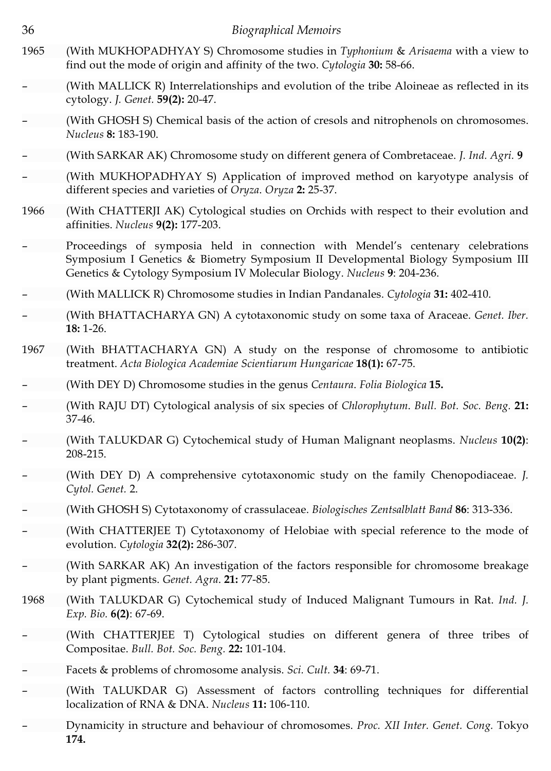| 36   | <b>Biographical Memoirs</b>                                                                                                                                                                                                                    |
|------|------------------------------------------------------------------------------------------------------------------------------------------------------------------------------------------------------------------------------------------------|
| 1965 | (With MUKHOPADHYAY S) Chromosome studies in Typhonium & Arisaema with a view to<br>find out the mode of origin and affinity of the two. Cytologia 30: 58-66.                                                                                   |
|      | (With MALLICK R) Interrelationships and evolution of the tribe Aloineae as reflected in its<br>cytology. J. Genet. 59(2): 20-47.                                                                                                               |
|      | (With GHOSH S) Chemical basis of the action of cresols and nitrophenols on chromosomes.<br>Nucleus 8: 183-190.                                                                                                                                 |
|      | (With SARKAR AK) Chromosome study on different genera of Combretaceae. J. Ind. Agri. 9                                                                                                                                                         |
|      | (With MUKHOPADHYAY S) Application of improved method on karyotype analysis of<br>different species and varieties of Oryza. Oryza 2: 25-37.                                                                                                     |
| 1966 | (With CHATTERJI AK) Cytological studies on Orchids with respect to their evolution and<br>affinities. Nucleus 9(2): 177-203.                                                                                                                   |
|      | Proceedings of symposia held in connection with Mendel's centenary celebrations<br>Symposium I Genetics & Biometry Symposium II Developmental Biology Symposium III<br>Genetics & Cytology Symposium IV Molecular Biology. Nucleus 9: 204-236. |
|      | (With MALLICK R) Chromosome studies in Indian Pandanales. Cytologia 31: 402-410.                                                                                                                                                               |
|      | (With BHATTACHARYA GN) A cytotaxonomic study on some taxa of Araceae. Genet. Iber.<br>18: 1-26.                                                                                                                                                |
| 1967 | (With BHATTACHARYA GN) A study on the response of chromosome to antibiotic<br>treatment. Acta Biologica Academiae Scientiarum Hungaricae 18(1): 67-75.                                                                                         |
|      | (With DEY D) Chromosome studies in the genus Centaura. Folia Biologica 15.                                                                                                                                                                     |
|      | (With RAJU DT) Cytological analysis of six species of Chlorophytum. Bull. Bot. Soc. Beng. 21:<br>37-46.                                                                                                                                        |
|      | (With TALUKDAR G) Cytochemical study of Human Malignant neoplasms. Nucleus 10(2):<br>208-215.                                                                                                                                                  |
|      | (With DEY D) A comprehensive cytotaxonomic study on the family Chenopodiaceae. J.<br>Cytol. Genet. 2.                                                                                                                                          |
|      | (With GHOSH S) Cytotaxonomy of crassulaceae. Biologisches Zentsalblatt Band 86: 313-336.                                                                                                                                                       |
|      | (With CHATTERJEE T) Cytotaxonomy of Helobiae with special reference to the mode of<br>evolution. Cytologia 32(2): 286-307.                                                                                                                     |
|      | (With SARKAR AK) An investigation of the factors responsible for chromosome breakage<br>by plant pigments. Genet. Agra. 21: 77-85.                                                                                                             |
| 1968 | (With TALUKDAR G) Cytochemical study of Induced Malignant Tumours in Rat. Ind. J.<br>Exp. Bio. 6(2): 67-69.                                                                                                                                    |
|      | (With CHATTERJEE T) Cytological studies on different genera of three tribes of<br>Compositae. Bull. Bot. Soc. Beng. 22: 101-104.                                                                                                               |
|      | Facets & problems of chromosome analysis. Sci. Cult. 34: 69-71.                                                                                                                                                                                |
|      | (With TALUKDAR G) Assessment of factors controlling techniques for differential<br>localization of RNA & DNA. Nucleus 11: 106-110.                                                                                                             |
|      | Dynamicity in structure and behaviour of chromosomes. Proc. XII Inter. Genet. Cong. Tokyo<br>174.                                                                                                                                              |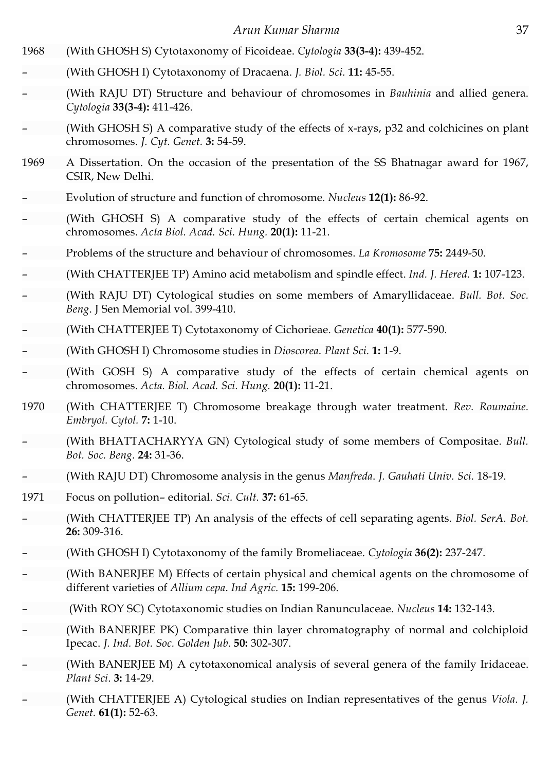- 1968 (With GHOSH S) Cytotaxonomy of Ficoideae. *Cytologia* **33(3-4):** 439-452.
- (With GHOSH I) Cytotaxonomy of Dracaena. *J. Biol. Sci.* **11:** 45-55.
- (With RAJU DT) Structure and behaviour of chromosomes in *Bauhinia* and allied genera. *Cytologia* **33(3-4):** 411-426.
- (With GHOSH S) A comparative study of the effects of x-rays, p32 and colchicines on plant chromosomes. *J. Cyt. Genet.* **3:** 54-59.
- 1969 A Dissertation. On the occasion of the presentation of the SS Bhatnagar award for 1967, CSIR, New Delhi.
- Evolution of structure and function of chromosome. *Nucleus* **12(1):** 86-92.
- (With GHOSH S) A comparative study of the effects of certain chemical agents on chromosomes. *Acta Biol. Acad. Sci. Hung.* **20(1):** 11-21.
- Problems of the structure and behaviour of chromosomes. *La Kromosome* **75:** 2449-50.
- (With CHATTERJEE TP) Amino acid metabolism and spindle effect. *Ind. J. Hered.* **1:** 107-123.
- (With RAJU DT) Cytological studies on some members of Amaryllidaceae. *Bull. Bot. Soc. Beng*. J Sen Memorial vol. 399-410.
- (With CHATTERJEE T) Cytotaxonomy of Cichorieae. *Genetica* **40(1):** 577-590.
- (With GHOSH I) Chromosome studies in *Dioscorea*. *Plant Sci.* **1:** 1-9.
- (With GOSH S) A comparative study of the effects of certain chemical agents on chromosomes. *Acta. Biol. Acad. Sci. Hung.* **20(1):** 11-21.
- 1970 (With CHATTERJEE T) Chromosome breakage through water treatment. *Rev. Roumaine. Embryol. Cytol.* **7:** 1-10.
- (With BHATTACHARYYA GN) Cytological study of some members of Compositae. *Bull. Bot. Soc. Beng.* **24:** 31-36.
- (With RAJU DT) Chromosome analysis in the genus *Manfreda*. *J. Gauhati Univ. Sci.* 18-19.
- 1971 Focus on pollution– editorial. *Sci. Cult.* **37:** 61-65.
- (With CHATTERJEE TP) An analysis of the effects of cell separating agents. *Biol. SerA. Bot.*  **26:** 309-316.
- (With GHOSH I) Cytotaxonomy of the family Bromeliaceae. *Cytologia* **36(2):** 237-247.
- (With BANERJEE M) Effects of certain physical and chemical agents on the chromosome of different varieties of *Allium cepa*. *Ind Agric.* **15:** 199-206.
- (With ROY SC) Cytotaxonomic studies on Indian Ranunculaceae. *Nucleus* **14:** 132-143.
- (With BANERJEE PK) Comparative thin layer chromatography of normal and colchiploid Ipecac. *J. Ind. Bot. Soc. Golden Jub*. **50:** 302-307.
- (With BANERJEE M) A cytotaxonomical analysis of several genera of the family Iridaceae. *Plant Sci*. **3:** 14-29.
- (With CHATTERJEE A) Cytological studies on Indian representatives of the genus *Viola*. *J. Genet.* **61(1):** 52-63.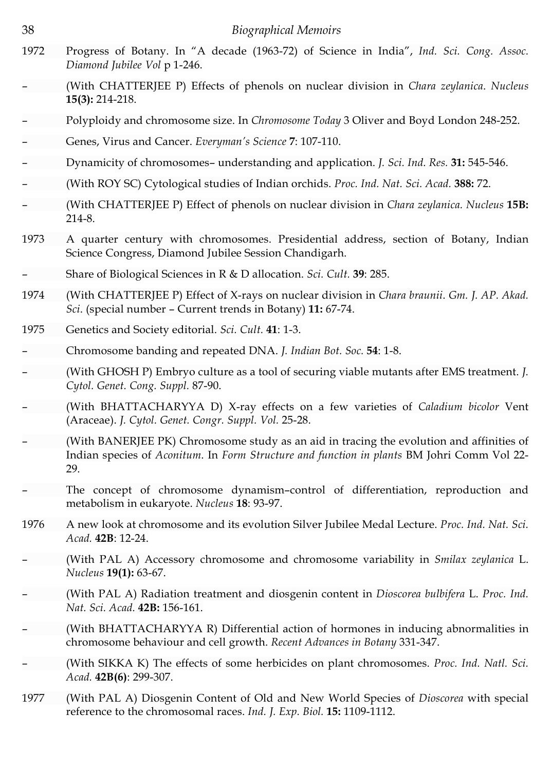| 38                       | <b>Biographical Memoirs</b>                                                                                                                                                                   |
|--------------------------|-----------------------------------------------------------------------------------------------------------------------------------------------------------------------------------------------|
| 1972                     | Progress of Botany. In "A decade (1963-72) of Science in India", Ind. Sci. Cong. Assoc.<br>Diamond Jubilee Vol p 1-246.                                                                       |
| $\overline{\phantom{0}}$ | (With CHATTERJEE P) Effects of phenols on nuclear division in Chara zeylanica. Nucleus<br>15(3): 214-218.                                                                                     |
|                          | Polyploidy and chromosome size. In Chromosome Today 3 Oliver and Boyd London 248-252.                                                                                                         |
|                          | Genes, Virus and Cancer. Everyman's Science 7: 107-110.                                                                                                                                       |
|                          | Dynamicity of chromosomes- understanding and application. J. Sci. Ind. Res. 31: 545-546.                                                                                                      |
|                          | (With ROY SC) Cytological studies of Indian orchids. Proc. Ind. Nat. Sci. Acad. 388: 72.                                                                                                      |
|                          | (With CHATTERJEE P) Effect of phenols on nuclear division in Chara zeylanica. Nucleus 15B:<br>214-8.                                                                                          |
| 1973                     | A quarter century with chromosomes. Presidential address, section of Botany, Indian<br>Science Congress, Diamond Jubilee Session Chandigarh.                                                  |
|                          | Share of Biological Sciences in R & D allocation. Sci. Cult. 39: 285.                                                                                                                         |
| 1974                     | (With CHATTERJEE P) Effect of X-rays on nuclear division in Chara braunii. Gm. J. AP. Akad.<br>Sci. (special number - Current trends in Botany) 11: 67-74.                                    |
| 1975                     | Genetics and Society editorial. Sci. Cult. 41: 1-3.                                                                                                                                           |
|                          | Chromosome banding and repeated DNA. J. Indian Bot. Soc. 54: 1-8.                                                                                                                             |
|                          | (With GHOSH P) Embryo culture as a tool of securing viable mutants after EMS treatment. J.<br>Cytol. Genet. Cong. Suppl. 87-90.                                                               |
| 4                        | (With BHATTACHARYYA D) X-ray effects on a few varieties of Caladium bicolor Vent<br>(Araceae). J. Cytol. Genet. Congr. Suppl. Vol. 25-28.                                                     |
| $\overline{\phantom{0}}$ | (With BANERJEE PK) Chromosome study as an aid in tracing the evolution and affinities of<br>Indian species of Aconitum. In Form Structure and function in plants BM Johri Comm Vol 22-<br>29. |
|                          | The concept of chromosome dynamism-control of differentiation, reproduction and<br>metabolism in eukaryote. Nucleus 18: 93-97.                                                                |
| 1976                     | A new look at chromosome and its evolution Silver Jubilee Medal Lecture. Proc. Ind. Nat. Sci.<br>Acad. <b>42B</b> : 12-24.                                                                    |

- (With PAL A) Accessory chromosome and chromosome variability in *Smilax zeylanica* L. *Nucleus* **19(1):** 63-67.
- (With PAL A) Radiation treatment and diosgenin content in *Dioscorea bulbifera* L. *Proc. Ind. Nat. Sci. Acad.* **42B:** 156-161.
- (With BHATTACHARYYA R) Differential action of hormones in inducing abnormalities in chromosome behaviour and cell growth. *Recent Advances in Botany* 331-347.
- (With SIKKA K) The effects of some herbicides on plant chromosomes. *Proc. Ind. Natl. Sci. Acad.* **42B(6)**: 299-307.
- 1977 (With PAL A) Diosgenin Content of Old and New World Species of *Dioscorea* with special reference to the chromosomal races. *Ind. J. Exp. Biol.* **15:** 1109-1112.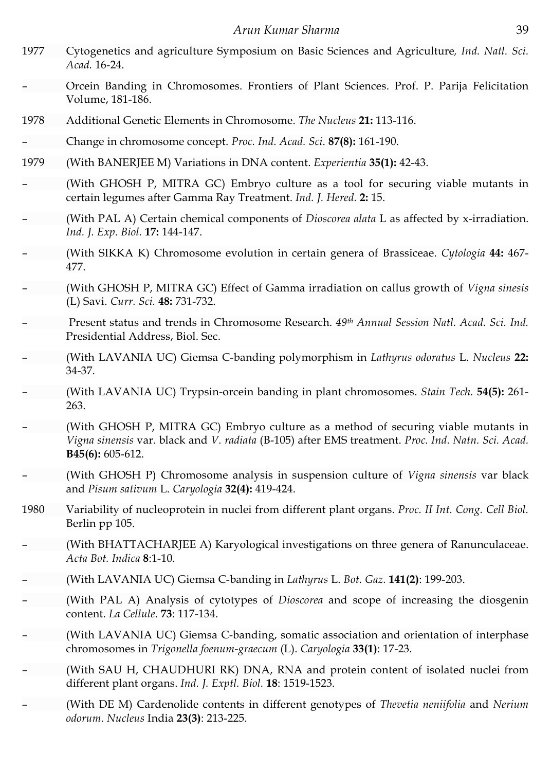- 1977 Cytogenetics and agriculture Symposium on Basic Sciences and Agriculture*, Ind. Natl. Sci. Acad.* 16-24.
- Orcein Banding in Chromosomes. Frontiers of Plant Sciences. Prof. P. Parija Felicitation Volume, 181-186.
- 1978 Additional Genetic Elements in Chromosome. *The Nucleus* **21:** 113-116.
- Change in chromosome concept. *Proc. Ind. Acad. Sci*. **87(8):** 161-190.
- 1979 (With BANERJEE M) Variations in DNA content. *Experientia* **35(1):** 42-43.
- (With GHOSH P, MITRA GC) Embryo culture as a tool for securing viable mutants in certain legumes after Gamma Ray Treatment. *Ind. J. Hered.* **2:** 15.
- (With PAL A) Certain chemical components of *Dioscorea alata* L as affected by x-irradiation. *Ind. J. Exp. Biol.* **17:** 144-147.
- (With SIKKA K) Chromosome evolution in certain genera of Brassiceae. *Cytologia* **44:** 467- 477.
- (With GHOSH P, MITRA GC) Effect of Gamma irradiation on callus growth of *Vigna sinesis* (L) Savi. *Curr. Sci.* **48:** 731-732.
- Present status and trends in Chromosome Research. *49th Annual Session Natl. Acad. Sci. Ind.* Presidential Address, Biol. Sec.
- (With LAVANIA UC) Giemsa C-banding polymorphism in *Lathyrus odoratus* L. *Nucleus* **22:** 34-37.
- (With LAVANIA UC) Trypsin-orcein banding in plant chromosomes. *Stain Tech.* **54(5):** 261- 263.
- (With GHOSH P, MITRA GC) Embryo culture as a method of securing viable mutants in *Vigna sinensis* var. black and *V. radiata* (B-105) after EMS treatment. *Proc. Ind. Natn. Sci. Acad.* **B45(6):** 605-612.
- (With GHOSH P) Chromosome analysis in suspension culture of *Vigna sinensis* var black and *Pisum sativum* L. *Caryologia* **32(4):** 419-424.
- 1980 Variability of nucleoprotein in nuclei from different plant organs. *Proc. II Int. Cong. Cell Biol.* Berlin pp 105.
- (With BHATTACHARJEE A) Karyological investigations on three genera of Ranunculaceae. *Acta Bot. Indica* **8**:1-10.
- (With LAVANIA UC) Giemsa C-banding in *Lathyrus* L. *Bot. Gaz.* **141(2)**: 199-203.
- (With PAL A) Analysis of cytotypes of *Dioscorea* and scope of increasing the diosgenin content. *La Cellule*. **73**: 117-134.
- (With LAVANIA UC) Giemsa C-banding, somatic association and orientation of interphase chromosomes in *Trigonella foenum-graecum* (L). *Caryologia* **33(1)**: 17-23.
- (With SAU H, CHAUDHURI RK) DNA, RNA and protein content of isolated nuclei from different plant organs. *Ind. J. Exptl. Biol.* **18**: 1519-1523.
- (With DE M) Cardenolide contents in different genotypes of *Thevetia neniifolia* and *Nerium odorum*. *Nucleus* India **23(3)**: 213-225.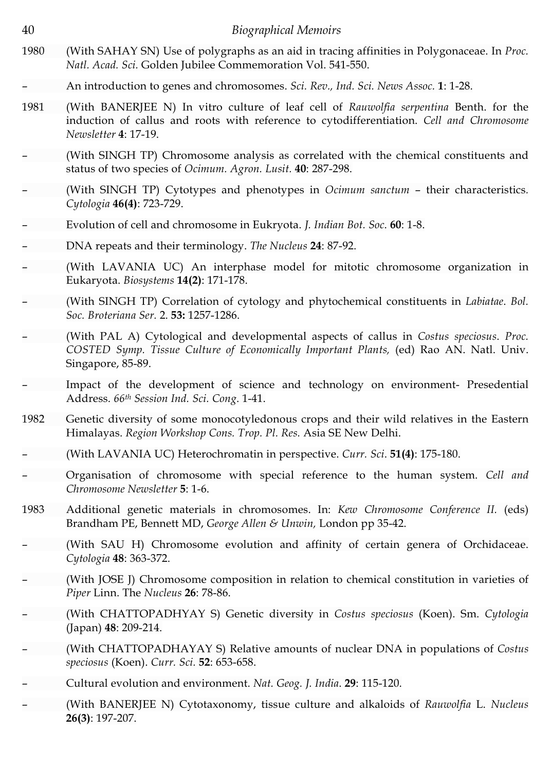| 40   | <b>Biographical Memoirs</b>                                                                                                                                                                                |
|------|------------------------------------------------------------------------------------------------------------------------------------------------------------------------------------------------------------|
| 1980 | (With SAHAY SN) Use of polygraphs as an aid in tracing affinities in Polygonaceae. In <i>Proc.</i><br>Natl. Acad. Sci. Golden Jubilee Commemoration Vol. 541-550.                                          |
|      | An introduction to genes and chromosomes. Sci. Rev., Ind. Sci. News Assoc. 1: 1-28.                                                                                                                        |
| 1981 | (With BANERJEE N) In vitro culture of leaf cell of Rauwolfia serpentina Benth. for the<br>induction of callus and roots with reference to cytodifferentiation. Cell and Chromosome<br>Newsletter 4: 17-19. |
|      | (With SINGH TP) Chromosome analysis as correlated with the chemical constituents and<br>status of two species of Ocimum. Agron. Lusit. 40: 287-298.                                                        |
|      | (With SINGH TP) Cytotypes and phenotypes in <i>Ocimum sanctum</i> - their characteristics.<br>Cytologia 46(4): 723-729.                                                                                    |
|      | Evolution of cell and chromosome in Eukryota. J. Indian Bot. Soc. 60: 1-8.                                                                                                                                 |
|      | DNA repeats and their terminology. The Nucleus 24: 87-92.                                                                                                                                                  |
|      | (With LAVANIA UC) An interphase model for mitotic chromosome organization in<br>Eukaryota. Biosystems 14(2): 171-178.                                                                                      |
|      | (With SINGH TP) Correlation of cytology and phytochemical constituents in Labiatae. Bol.<br>Soc. Broteriana Ser. 2. 53: 1257-1286.                                                                         |
|      | (With PAL A) Cytological and developmental aspects of callus in Costus speciosus. Proc.<br>COSTED Symp. Tissue Culture of Economically Important Plants, (ed) Rao AN. Natl. Univ.<br>Singapore, 85-89.     |
|      | Impact of the development of science and technology on environment- Presedential<br>Address. 66th Session Ind. Sci. Cong. 1-41.                                                                            |
| 1982 | Genetic diversity of some monocotyledonous crops and their wild relatives in the Eastern<br>Himalayas. Region Workshop Cons. Trop. Pl. Res. Asia SE New Delhi.                                             |
|      | (With LAVANIA UC) Heterochromatin in perspective. Curr. Sci. 51(4): 175-180.                                                                                                                               |
|      | Organisation of chromosome with special reference to the human system. Cell and<br>Chromosome Newsletter 5: 1-6.                                                                                           |
| 1983 | Additional genetic materials in chromosomes. In: Kew Chromosome Conference II. (eds)<br>Brandham PE, Bennett MD, George Allen & Unwin, London pp 35-42.                                                    |
|      | (With SAU H) Chromosome evolution and affinity of certain genera of Orchidaceae.<br>Cytologia 48: 363-372.                                                                                                 |
|      | (With JOSE J) Chromosome composition in relation to chemical constitution in varieties of<br>Piper Linn. The Nucleus 26: 78-86.                                                                            |
|      | (With CHATTOPADHYAY S) Genetic diversity in Costus speciosus (Koen). Sm. Cytologia<br>(Japan) 48: 209-214.                                                                                                 |
|      | (With CHATTOPADHAYAY S) Relative amounts of nuclear DNA in populations of Costus<br>speciosus (Koen). Curr. Sci. <b>52</b> : 653-658.                                                                      |
|      | Cultural evolution and environment. Nat. Geog. J. India. 29: 115-120.                                                                                                                                      |
|      | (With BANERJEE N) Cytotaxonomy, tissue culture and alkaloids of Rauwolfia L. Nucleus<br>$26(3): 197-207.$                                                                                                  |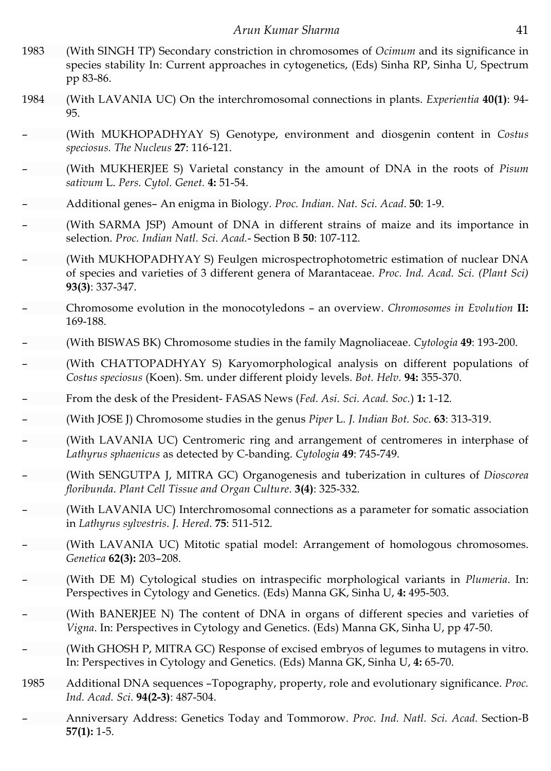- 1983 (With SINGH TP) Secondary constriction in chromosomes of *Ocimum* and its significance in species stability In: Current approaches in cytogenetics, (Eds) Sinha RP, Sinha U, Spectrum pp 83-86.
- 1984 (With LAVANIA UC) On the interchromosomal connections in plants. *Experientia* **40(1)**: 94- 95.
- (With MUKHOPADHYAY S) Genotype, environment and diosgenin content in *Costus speciosus. The Nucleus* **27**: 116-121.
- (With MUKHERJEE S) Varietal constancy in the amount of DNA in the roots of *Pisum sativum* L. *Pers. Cytol. Genet.* **4:** 51-54.
- Additional genes– An enigma in Biology*. Proc. Indian. Nat. Sci. Acad*. **50**: 1-9.
- (With SARMA JSP) Amount of DNA in different strains of maize and its importance in selection. *Proc. Indian Natl. Sci. Acad.*- Section B **50**: 107-112.
- (With MUKHOPADHYAY S) Feulgen microspectrophotometric estimation of nuclear DNA of species and varieties of 3 different genera of Marantaceae. *Proc. Ind. Acad. Sci. (Plant Sci)* **93(3)**: 337-347.
- Chromosome evolution in the monocotyledons an overview. *Chromosomes in Evolution* **II:** 169-188.
- (With BISWAS BK) Chromosome studies in the family Magnoliaceae. *Cytologia* **49**: 193-200.
- (With CHATTOPADHYAY S) Karyomorphological analysis on different populations of *Costus speciosus* (Koen). Sm. under different ploidy levels. *Bot. Helv.* **94:** 355-370.
- From the desk of the President- FASAS News (*Fed. Asi. Sci. Acad. Soc.*) **1:** 1-12.
- (With JOSE J) Chromosome studies in the genus *Piper* L. *J. Indian Bot. Soc*. **63**: 313-319.
- (With LAVANIA UC) Centromeric ring and arrangement of centromeres in interphase of *Lathyrus sphaenicus* as detected by C-banding. *Cytologia* **49**: 745-749.
- (With SENGUTPA J, MITRA GC) Organogenesis and tuberization in cultures of *Dioscorea floribunda*. *Plant Cell Tissue and Organ Culture*. **3(4)**: 325-332.
- (With LAVANIA UC) Interchromosomal connections as a parameter for somatic association in *Lathyrus sylvestris*. *J. Hered*. **75**: 511-512.
- (With LAVANIA UC) Mitotic spatial model: Arrangement of homologous chromosomes. *Genetica* **62(3):** 203–208.
- (With DE M) Cytological studies on intraspecific morphological variants in *Plumeria*. In: Perspectives in Cytology and Genetics. (Eds) Manna GK, Sinha U, **4:** 495-503.
- (With BANERJEE N) The content of DNA in organs of different species and varieties of *Vigna*. In: Perspectives in Cytology and Genetics. (Eds) Manna GK, Sinha U, pp 47-50.
- (With GHOSH P, MITRA GC) Response of excised embryos of legumes to mutagens in vitro. In: Perspectives in Cytology and Genetics. (Eds) Manna GK, Sinha U, **4:** 65-70.
- 1985 Additional DNA sequences –Topography, property, role and evolutionary significance. *Proc. Ind. Acad. Sci*. **94(2-3)**: 487-504.
- Anniversary Address: Genetics Today and Tommorow. *Proc. Ind. Natl. Sci. Acad.* Section-B **57(1):** 1-5.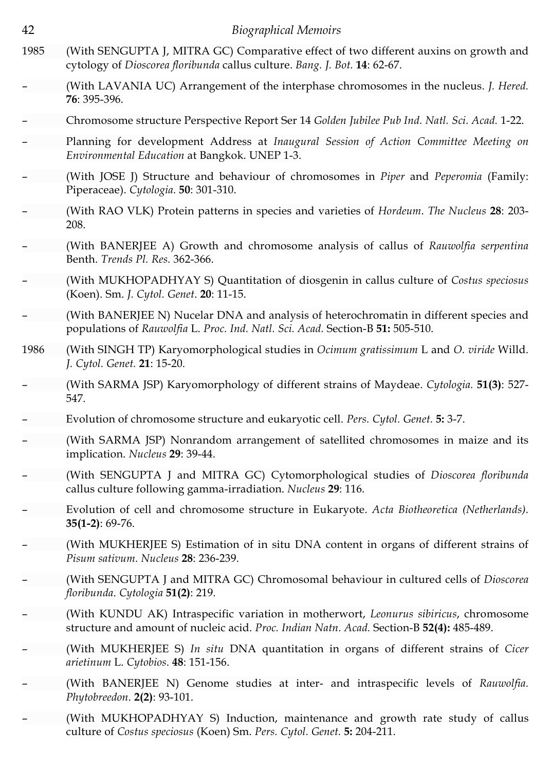| 42   | <b>Biographical Memoirs</b>                                                                                                                                                       |
|------|-----------------------------------------------------------------------------------------------------------------------------------------------------------------------------------|
| 1985 | (With SENGUPTA J, MITRA GC) Comparative effect of two different auxins on growth and<br>cytology of Dioscorea floribunda callus culture. Bang. J. Bot. 14: 62-67.                 |
|      | (With LAVANIA UC) Arrangement of the interphase chromosomes in the nucleus. J. Hered.<br>76: 395-396.                                                                             |
|      | Chromosome structure Perspective Report Ser 14 Golden Jubilee Pub Ind. Natl. Sci. Acad. 1-22.                                                                                     |
|      | Planning for development Address at Inaugural Session of Action Committee Meeting on<br>Environmental Education at Bangkok. UNEP 1-3.                                             |
|      | (With JOSE J) Structure and behaviour of chromosomes in Piper and Peperomia (Family:<br>Piperaceae). Cytologia. 50: 301-310.                                                      |
|      | (With RAO VLK) Protein patterns in species and varieties of Hordeum. The Nucleus 28: 203-<br>208.                                                                                 |
|      | (With BANERJEE A) Growth and chromosome analysis of callus of Rauwolfia serpentina<br>Benth. Trends Pl. Res. 362-366.                                                             |
|      | (With MUKHOPADHYAY S) Quantitation of diosgenin in callus culture of Costus speciosus<br>(Koen). Sm. J. Cytol. Genet. 20: 11-15.                                                  |
|      | (With BANERJEE N) Nucelar DNA and analysis of heterochromatin in different species and<br>populations of Rauwolfia L. Proc. Ind. Natl. Sci. Acad. Section-B 51: 505-510.          |
| 1986 | (With SINGH TP) Karyomorphological studies in Ocimum gratissimum L and O. viride Willd.<br>J. Cytol. Genet. 21: 15-20.                                                            |
|      | (With SARMA JSP) Karyomorphology of different strains of Maydeae. Cytologia. 51(3): 527-<br>547.                                                                                  |
|      | Evolution of chromosome structure and eukaryotic cell. Pers. Cytol. Genet. 5: 3-7.                                                                                                |
|      | (With SARMA JSP) Nonrandom arrangement of satellited chromosomes in maize and its<br>implication. Nucleus 29: 39-44.                                                              |
|      | (With SENGUPTA J and MITRA GC) Cytomorphological studies of Dioscorea floribunda<br>callus culture following gamma-irradiation. Nucleus 29: 116.                                  |
|      | Evolution of cell and chromosome structure in Eukaryote. Acta Biotheoretica (Netherlands).<br>$35(1-2): 69-76.$                                                                   |
|      | (With MUKHERJEE S) Estimation of in situ DNA content in organs of different strains of<br>Pisum sativum. Nucleus 28: 236-239.                                                     |
|      | (With SENGUPTA J and MITRA GC) Chromosomal behaviour in cultured cells of Dioscorea<br>floribunda. Cytologia 51(2): 219.                                                          |
|      | (With KUNDU AK) Intraspecific variation in motherwort, Leonurus sibiricus, chromosome<br>structure and amount of nucleic acid. Proc. Indian Natn. Acad. Section-B 52(4): 485-489. |
|      | (With MUKHERJEE S) In situ DNA quantitation in organs of different strains of Cicer<br>arietinum L. Cytobios. 48: 151-156.                                                        |
|      | (With BANERJEE N) Genome studies at inter- and intraspecific levels of Rauwolfia.<br>Phytobreedon. 2(2): 93-101.                                                                  |

– (With MUKHOPADHYAY S) Induction, maintenance and growth rate study of callus culture of *Costus speciosus* (Koen) Sm. *Pers. Cytol. Genet.* **5:** 204-211.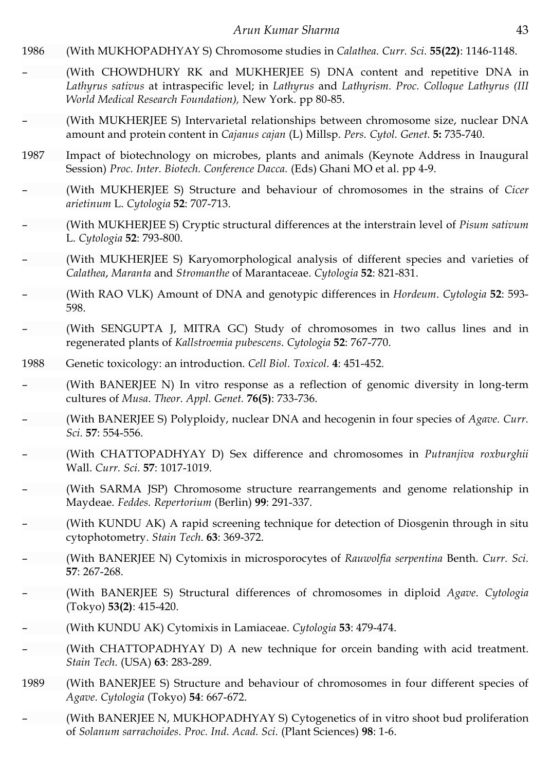- 1986 (With MUKHOPADHYAY S) Chromosome studies in *Calathea*. *Curr. Sci.* **55(22)**: 1146-1148.
- (With CHOWDHURY RK and MUKHERJEE S) DNA content and repetitive DNA in *Lathyrus sativus* at intraspecific level; in *Lathyrus* and *Lathyrism. Proc. Colloque Lathyrus (III World Medical Research Foundation),* New York. pp 80-85.
- (With MUKHERJEE S) Intervarietal relationships between chromosome size, nuclear DNA amount and protein content in *Cajanus cajan* (L) Millsp. *Pers. Cytol. Genet.* **5:** 735-740.
- 1987 Impact of biotechnology on microbes, plants and animals (Keynote Address in Inaugural Session) *Proc. Inter. Biotech. Conference Dacca.* (Eds) Ghani MO et al. pp 4-9.
- (With MUKHERJEE S) Structure and behaviour of chromosomes in the strains of *Cicer arietinum* L. *Cytologia* **52**: 707-713.
- (With MUKHERJEE S) Cryptic structural differences at the interstrain level of *Pisum sativum* L. *Cytologia* **52**: 793-800.
- (With MUKHERJEE S) Karyomorphological analysis of different species and varieties of *Calathea*, *Maranta* and *Stromanthe* of Marantaceae. *Cytologia* **52**: 821-831.
- (With RAO VLK) Amount of DNA and genotypic differences in *Hordeum*. *Cytologia* **52**: 593- 598.
- (With SENGUPTA J, MITRA GC) Study of chromosomes in two callus lines and in regenerated plants of *Kallstroemia pubescens*. *Cytologia* **52**: 767-770.
- 1988 Genetic toxicology: an introduction. *Cell Biol. Toxicol.* **4**: 451-452.
- (With BANERJEE N) In vitro response as a reflection of genomic diversity in long-term cultures of *Musa*. *Theor. Appl. Genet.* **76(5)**: 733-736.
- (With BANERJEE S) Polyploidy, nuclear DNA and hecogenin in four species of *Agave. Curr. Sci.* **57**: 554-556.
- (With CHATTOPADHYAY D) Sex difference and chromosomes in *Putranjiva roxburghii* Wall. *Curr. Sci.* **57**: 1017-1019.
- (With SARMA JSP) Chromosome structure rearrangements and genome relationship in Maydeae. *Feddes. Repertorium* (Berlin) **99**: 291-337.
- (With KUNDU AK) A rapid screening technique for detection of Diosgenin through in situ cytophotometry. *Stain Tech*. **63**: 369-372.
- (With BANERJEE N) Cytomixis in microsporocytes of *Rauwolfia serpentina* Benth. *Curr. Sci.* **57**: 267-268.
- (With BANERJEE S) Structural differences of chromosomes in diploid *Agave*. *Cytologia* (Tokyo) **53(2)**: 415-420.
- (With KUNDU AK) Cytomixis in Lamiaceae. *Cytologia* **53**: 479-474.
- (With CHATTOPADHYAY D) A new technique for orcein banding with acid treatment. *Stain Tech.* (USA) **63**: 283-289.
- 1989 (With BANERJEE S) Structure and behaviour of chromosomes in four different species of *Agave*. *Cytologia* (Tokyo) **54**: 667-672.
- (With BANERJEE N, MUKHOPADHYAY S) Cytogenetics of in vitro shoot bud proliferation of *Solanum sarrachoides*. *Proc. Ind. Acad. Sci.* (Plant Sciences) **98**: 1-6.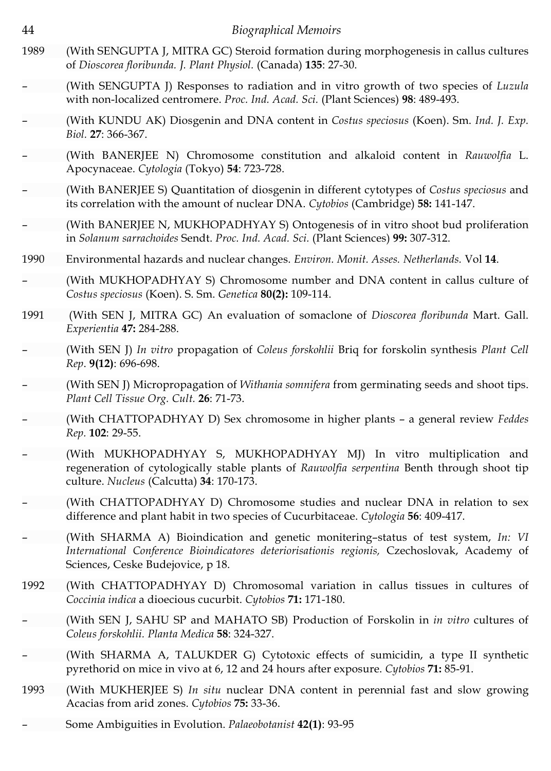| 44   | <b>Biographical Memoirs</b>                                                                                                                                                                                             |
|------|-------------------------------------------------------------------------------------------------------------------------------------------------------------------------------------------------------------------------|
| 1989 | (With SENGUPTA J, MITRA GC) Steroid formation during morphogenesis in callus cultures<br>of Dioscorea floribunda. J. Plant Physiol. (Canada) 135: 27-30.                                                                |
|      | (With SENGUPTA J) Responses to radiation and in vitro growth of two species of Luzula<br>with non-localized centromere. Proc. Ind. Acad. Sci. (Plant Sciences) 98: 489-493.                                             |
|      | (With KUNDU AK) Diosgenin and DNA content in Costus speciosus (Koen). Sm. Ind. J. Exp.<br>Biol. 27: 366-367.                                                                                                            |
|      | (With BANERJEE N) Chromosome constitution and alkaloid content in Rauwolfia L.<br>Apocynaceae. Cytologia (Tokyo) 54: 723-728.                                                                                           |
|      | (With BANERJEE S) Quantitation of diosgenin in different cytotypes of Costus speciosus and<br>its correlation with the amount of nuclear DNA. Cytobios (Cambridge) 58: 141-147.                                         |
|      | (With BANERJEE N, MUKHOPADHYAY S) Ontogenesis of in vitro shoot bud proliferation<br>in Solanum sarrachoides Sendt. Proc. Ind. Acad. Sci. (Plant Sciences) 99: 307-312.                                                 |
| 1990 | Environmental hazards and nuclear changes. Environ. Monit. Asses. Netherlands. Vol 14.                                                                                                                                  |
|      | (With MUKHOPADHYAY S) Chromosome number and DNA content in callus culture of<br>Costus speciosus (Koen). S. Sm. Genetica 80(2): 109-114.                                                                                |
| 1991 | (With SEN J, MITRA GC) An evaluation of somaclone of Dioscorea floribunda Mart. Gall.<br>Experientia 47: 284-288.                                                                                                       |
|      | (With SEN J) In vitro propagation of Coleus forskohlii Briq for forskolin synthesis Plant Cell<br>Rep. 9(12): 696-698.                                                                                                  |
|      | (With SEN J) Micropropagation of Withania somnifera from germinating seeds and shoot tips.<br>Plant Cell Tissue Org. Cult. 26: 71-73.                                                                                   |
|      | (With CHATTOPADHYAY D) Sex chromosome in higher plants - a general review Feddes<br>Rep. 102: 29-55.                                                                                                                    |
|      | (With MUKHOPADHYAY S, MUKHOPADHYAY MJ) In vitro multiplication and<br>regeneration of cytologically stable plants of Rauwolfia serpentina Benth through shoot tip<br>culture. Nucleus (Calcutta) 34: 170-173.           |
|      | (With CHATTOPADHYAY D) Chromosome studies and nuclear DNA in relation to sex<br>difference and plant habit in two species of Cucurbitaceae. Cytologia 56: 409-417.                                                      |
|      | (With SHARMA A) Bioindication and genetic monitering-status of test system, In: VI<br>International Conference Bioindicatores deteriorisationis regionis, Czechoslovak, Academy of<br>Sciences, Ceske Budejovice, p 18. |
| 1992 | (With CHATTOPADHYAY D) Chromosomal variation in callus tissues in cultures of<br>Coccinia indica a dioecious cucurbit. Cytobios 71: 171-180.                                                                            |
|      | (With SEN J, SAHU SP and MAHATO SB) Production of Forskolin in in vitro cultures of<br>Coleus forskohlii. Planta Medica 58: 324-327.                                                                                    |
|      | (With SHARMA A, TALUKDER G) Cytotoxic effects of sumicidin, a type II synthetic<br>pyrethorid on mice in vivo at 6, 12 and 24 hours after exposure. Cytobios 71: 85-91.                                                 |
| 1993 | (With MUKHERJEE S) In situ nuclear DNA content in perennial fast and slow growing<br>Acacias from arid zones. Cytobios 75: 33-36.                                                                                       |
|      | Some Ambiguities in Evolution. Palaeobotanist 42(1): 93-95                                                                                                                                                              |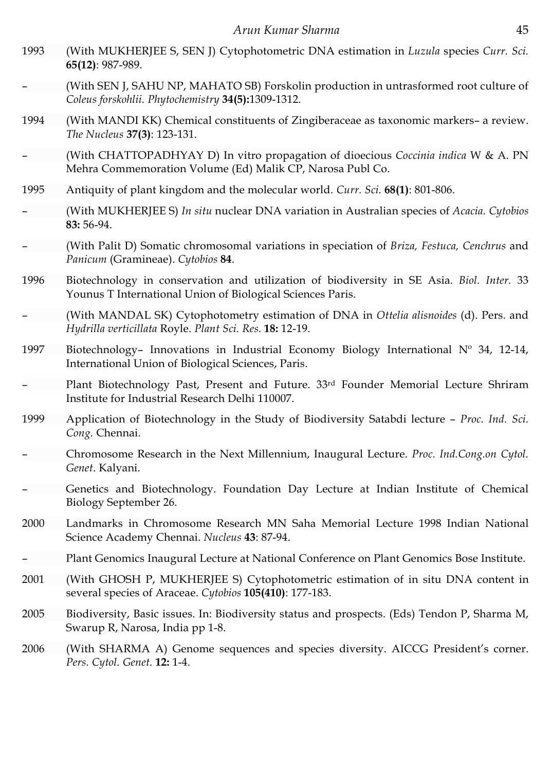- 1993 (With MUKHERJEE S, SEN J) Cytophotometric DNA estimation in *Luzula* species *Curr. Sci.* **65(12)**: 987-989.
- (With SEN J, SAHU NP, MAHATO SB) Forskolin production in untrasformed root culture of *Coleus forskohlii. Phytochemistry* **34(5):**1309-1312.
- 1994 (With MANDI KK) Chemical constituents of Zingiberaceae as taxonomic markers– a review. *The Nucleus* **37(3)**: 123-131.
- (With CHATTOPADHYAY D) In vitro propagation of dioecious *Coccinia indica* W & A. PN Mehra Commemoration Volume (Ed) Malik CP, Narosa Publ Co.
- 1995 Antiquity of plant kingdom and the molecular world. *Curr. Sci.* **68(1)**: 801-806.
- (With MUKHERJEE S) *In situ* nuclear DNA variation in Australian species of *Acacia. Cytobios* **83:** 56-94.
- (With Palit D) Somatic chromosomal variations in speciation of *Briza, Festuca, Cenchrus* and *Panicum* (Gramineae). *Cytobios* **84**.
- 1996 Biotechnology in conservation and utilization of biodiversity in SE Asia. *Biol. Inter.* 33 Younus T International Union of Biological Sciences Paris.
- (With MANDAL SK) Cytophotometry estimation of DNA in *Ottelia alisnoides* (d). Pers. and *Hydrilla verticillata* Royle. *Plant Sci. Res*. **18:** 12-19.
- 1997 Biotechnology– Innovations in Industrial Economy Biology International Nº 34, 12-14, International Union of Biological Sciences, Paris.
- Plant Biotechnology Past, Present and Future. 33rd Founder Memorial Lecture Shriram Institute for Industrial Research Delhi 110007.
- 1999 Application of Biotechnology in the Study of Biodiversity Satabdi lecture *Proc. Ind. Sci. Cong.* Chennai.
- Chromosome Research in the Next Millennium, Inaugural Lecture. *Proc. Ind.Cong.on Cytol. Genet*. Kalyani.
- Genetics and Biotechnology. Foundation Day Lecture at Indian Institute of Chemical Biology September 26.
- 2000 Landmarks in Chromosome Research MN Saha Memorial Lecture 1998 Indian National Science Academy Chennai. *Nucleus* **43**: 87-94.
- Plant Genomics Inaugural Lecture at National Conference on Plant Genomics Bose Institute.
- 2001 (With GHOSH P, MUKHERJEE S) Cytophotometric estimation of in situ DNA content in several species of Araceae. *Cytobios* **105(410)**: 177-183.
- 2005 Biodiversity, Basic issues. In: Biodiversity status and prospects. (Eds) Tendon P, Sharma M, Swarup R, Narosa, India pp 1-8.
- 2006 (With SHARMA A) Genome sequences and species diversity. AICCG President's corner. *Pers. Cytol. Genet.* **12:** 1-4.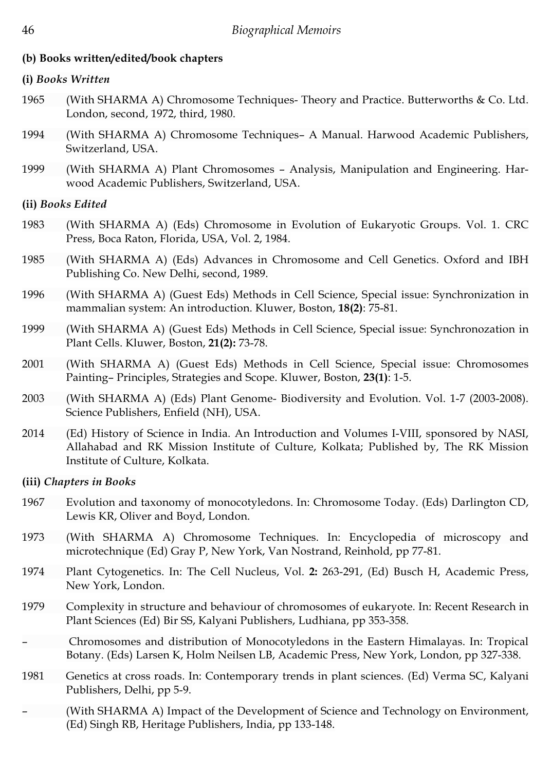## **(b) Books written/edited/book chapters**

## **(i)** *Books Written*

- 1965 (With SHARMA A) Chromosome Techniques- Theory and Practice. Butterworths & Co. Ltd. London, second, 1972, third, 1980.
- 1994 (With SHARMA A) Chromosome Techniques– A Manual. Harwood Academic Publishers, Switzerland, USA.
- 1999 (With SHARMA A) Plant Chromosomes Analysis, Manipulation and Engineering. Harwood Academic Publishers, Switzerland, USA.

### **(ii)** *Books Edited*

- 1983 (With SHARMA A) (Eds) Chromosome in Evolution of Eukaryotic Groups. Vol. 1. CRC Press, Boca Raton, Florida, USA, Vol. 2, 1984.
- 1985 (With SHARMA A) (Eds) Advances in Chromosome and Cell Genetics. Oxford and IBH Publishing Co. New Delhi, second, 1989.
- 1996 (With SHARMA A) (Guest Eds) Methods in Cell Science, Special issue: Synchronization in mammalian system: An introduction. Kluwer, Boston, **18(2)**: 75-81.
- 1999 (With SHARMA A) (Guest Eds) Methods in Cell Science, Special issue: Synchronozation in Plant Cells. Kluwer, Boston, **21(2):** 73-78.
- 2001 (With SHARMA A) (Guest Eds) Methods in Cell Science, Special issue: Chromosomes Painting– Principles, Strategies and Scope. Kluwer, Boston, **23(1)**: 1-5.
- 2003 (With SHARMA A) (Eds) Plant Genome- Biodiversity and Evolution. Vol. 1-7 (2003-2008). Science Publishers, Enfield (NH), USA.
- 2014 (Ed) History of Science in India. An Introduction and Volumes I-VIII, sponsored by NASI, Allahabad and RK Mission Institute of Culture, Kolkata; Published by, The RK Mission Institute of Culture, Kolkata.

## **(iii)** *Chapters in Books*

- 1967 Evolution and taxonomy of monocotyledons. In: Chromosome Today. (Eds) Darlington CD, Lewis KR, Oliver and Boyd, London.
- 1973 (With SHARMA A) Chromosome Techniques. In: Encyclopedia of microscopy and microtechnique (Ed) Gray P, New York, Van Nostrand, Reinhold, pp 77-81.
- 1974 Plant Cytogenetics. In: The Cell Nucleus, Vol. **2:** 263-291, (Ed) Busch H, Academic Press, New York, London.
- 1979 Complexity in structure and behaviour of chromosomes of eukaryote. In: Recent Research in Plant Sciences (Ed) Bir SS, Kalyani Publishers, Ludhiana, pp 353-358.
- Chromosomes and distribution of Monocotyledons in the Eastern Himalayas. In: Tropical Botany. (Eds) Larsen K, Holm Neilsen LB, Academic Press, New York, London, pp 327-338.
- 1981 Genetics at cross roads. In: Contemporary trends in plant sciences. (Ed) Verma SC, Kalyani Publishers, Delhi, pp 5-9.
- (With SHARMA A) Impact of the Development of Science and Technology on Environment, (Ed) Singh RB, Heritage Publishers, India, pp 133-148.